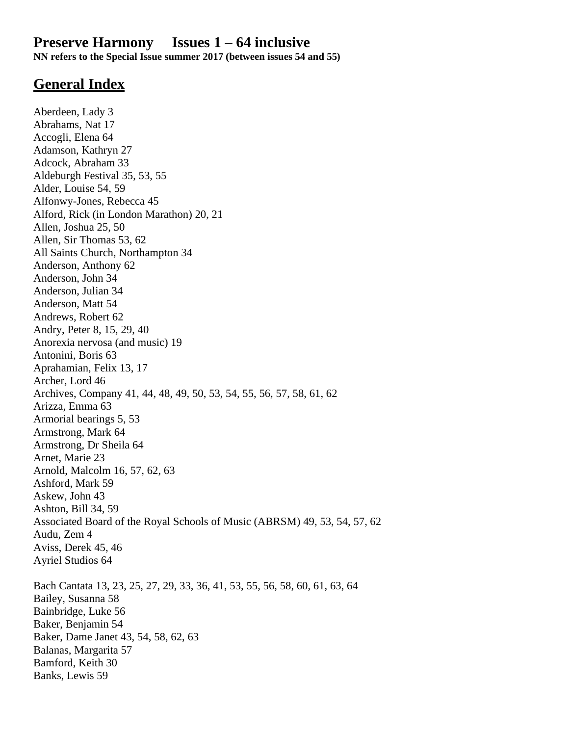# **Preserve Harmony Issues 1 – 64 inclusive**

**NN refers to the Special Issue summer 2017 (between issues 54 and 55)**

# **General Index**

Aberdeen, Lady 3 Abrahams, Nat 17 Accogli, Elena 64 Adamson, Kathryn 27 Adcock, Abraham 33 Aldeburgh Festival 35, 53, 55 Alder, Louise 54, 59 Alfonwy-Jones, Rebecca 45 Alford, Rick (in London Marathon) 20, 21 Allen, Joshua 25, 50 Allen, Sir Thomas 53, 62 All Saints Church, Northampton 34 Anderson, Anthony 62 Anderson, John 34 Anderson, Julian 34 Anderson, Matt 54 Andrews, Robert 62 Andry, Peter 8, 15, 29, 40 Anorexia nervosa (and music) 19 Antonini, Boris 63 Aprahamian, Felix 13, 17 Archer, Lord 46 Archives, Company 41, 44, 48, 49, 50, 53, 54, 55, 56, 57, 58, 61, 62 Arizza, Emma 63 Armorial bearings 5, 53 Armstrong, Mark 64 Armstrong, Dr Sheila 64 Arnet, Marie 23 Arnold, Malcolm 16, 57, 62, 63 Ashford, Mark 59 Askew, John 43 Ashton, Bill 34, 59 Associated Board of the Royal Schools of Music (ABRSM) 49, 53, 54, 57, 62 Audu, Zem 4 Aviss, Derek 45, 46 Ayriel Studios 64 Bach Cantata 13, 23, 25, 27, 29, 33, 36, 41, 53, 55, 56, 58, 60, 61, 63, 64 Bailey, Susanna 58 Bainbridge, Luke 56 Baker, Benjamin 54 Baker, Dame Janet 43, 54, 58, 62, 63 Balanas, Margarita 57 Bamford, Keith 30 Banks, Lewis 59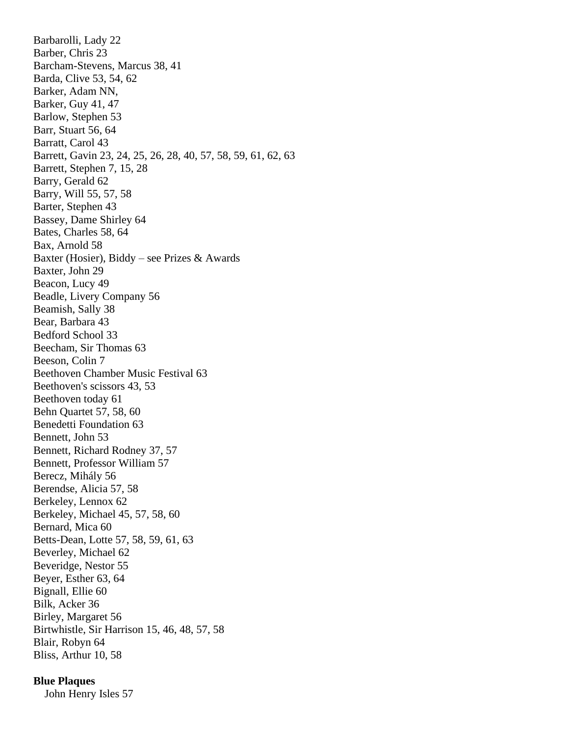Barbarolli, Lady 22 Barber, Chris 23 Barcham-Stevens, Marcus 38, 41 Barda, Clive 53, 54, 62 Barker, Adam NN, Barker, Guy 41, 47 Barlow, Stephen 53 Barr, Stuart 56, 64 Barratt, Carol 43 Barrett, Gavin 23, 24, 25, 26, 28, 40, 57, 58, 59, 61, 62, 63 Barrett, Stephen 7, 15, 28 Barry, Gerald 62 Barry, Will 55, 57, 58 Barter, Stephen 43 Bassey, Dame Shirley 64 Bates, Charles 58, 64 Bax, Arnold 58 Baxter (Hosier), Biddy – see Prizes & Awards Baxter, John 29 Beacon, Lucy 49 Beadle, Livery Company 56 Beamish, Sally 38 Bear, Barbara 43 Bedford School 33 Beecham, Sir Thomas 63 Beeson, Colin 7 Beethoven Chamber Music Festival 63 Beethoven's scissors 43, 53 Beethoven today 61 Behn Quartet 57, 58, 60 Benedetti Foundation 63 Bennett, John 53 Bennett, Richard Rodney 37, 57 Bennett, Professor William 57 Berecz, Mihály 56 Berendse, Alicia 57, 58 Berkeley, Lennox 62 Berkeley, Michael 45, 57, 58, 60 Bernard, Mica 60 Betts-Dean, Lotte 57, 58, 59, 61, 63 Beverley, Michael 62 Beveridge, Nestor 55 Beyer, Esther 63, 64 Bignall, Ellie 60 Bilk, Acker 36 Birley, Margaret 56 Birtwhistle, Sir Harrison 15, 46, 48, 57, 58 Blair, Robyn 64 Bliss, Arthur 10, 58

# **Blue Plaques**

John Henry Isles 57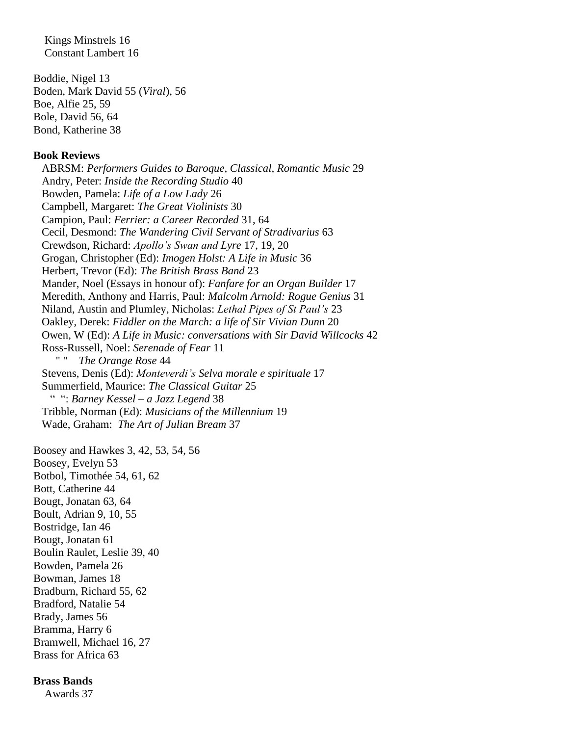Kings Minstrels 16 Constant Lambert 16

Boddie, Nigel 13 Boden, Mark David 55 (*Viral*), 56 Boe, Alfie 25, 59 Bole, David 56, 64 Bond, Katherine 38

### **Book Reviews**

ABRSM: *Performers Guides to Baroque, Classical, Romantic Music* 29 Andry, Peter: *Inside the Recording Studio* 40 Bowden, Pamela: *Life of a Low Lady* 26 Campbell, Margaret: *The Great Violinists* 30 Campion, Paul: *Ferrier: a Career Recorded* 31, 64 Cecil, Desmond: *The Wandering Civil Servant of Stradivarius* 63 Crewdson, Richard: *Apollo's Swan and Lyre* 17, 19, 20 Grogan, Christopher (Ed): *Imogen Holst: A Life in Music* 36 Herbert, Trevor (Ed): *The British Brass Band* 23 Mander, Noel (Essays in honour of): *Fanfare for an Organ Builder* 17 Meredith, Anthony and Harris, Paul: *Malcolm Arnold: Rogue Genius* 31 Niland, Austin and Plumley, Nicholas: *Lethal Pipes of St Paul's* 23 Oakley, Derek: *Fiddler on the March: a life of Sir Vivian Dunn* 20 Owen, W (Ed): *A Life in Music: conversations with Sir David Willcocks* 42 Ross-Russell, Noel: *Serenade of Fear* 11 **The Orange Rose 44**  Stevens, Denis (Ed): *Monteverdi's Selva morale e spirituale* 17 Summerfield, Maurice: *The Classical Guitar* 25 " ": *Barney Kessel – a Jazz Legend* 38 Tribble, Norman (Ed): *Musicians of the Millennium* 19 Wade, Graham: *The Art of Julian Bream* 37

Boosey and Hawkes 3, 42, 53, 54, 56 Boosey, Evelyn 53 Botbol, Timothée 54, 61, 62 Bott, Catherine 44 Bougt, Jonatan 63, 64 Boult, Adrian 9, 10, 55 Bostridge, Ian 46 Bougt, Jonatan 61 Boulin Raulet, Leslie 39, 40 Bowden, Pamela 26 Bowman, James 18 Bradburn, Richard 55, 62 Bradford, Natalie 54 Brady, James 56 Bramma, Harry 6 Bramwell, Michael 16, 27 Brass for Africa 63

## **Brass Bands**

Awards 37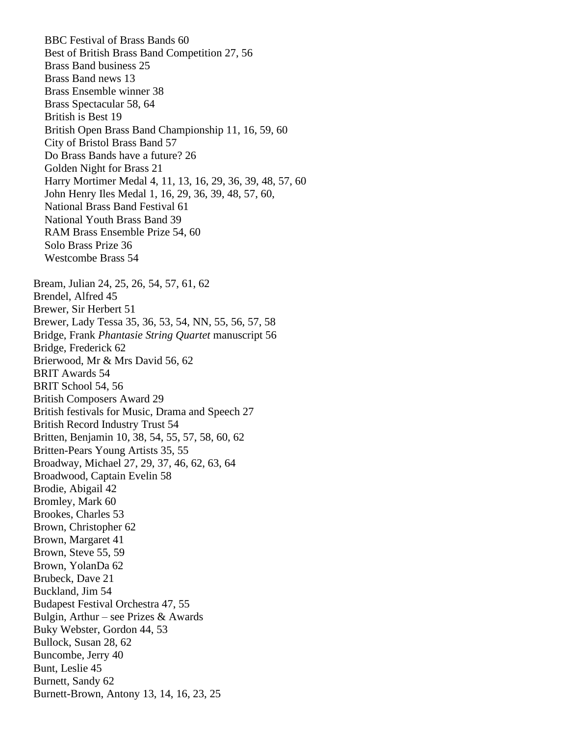BBC Festival of Brass Bands 60 Best of British Brass Band Competition 27, 56 Brass Band business 25 Brass Band news 13 Brass Ensemble winner 38 Brass Spectacular 58, 64 British is Best 19 British Open Brass Band Championship 11, 16, 59, 60 City of Bristol Brass Band 57 Do Brass Bands have a future? 26 Golden Night for Brass 21 Harry Mortimer Medal 4, 11, 13, 16, 29, 36, 39, 48, 57, 60 John Henry Iles Medal 1, 16, 29, 36, 39, 48, 57, 60, National Brass Band Festival 61 National Youth Brass Band 39 RAM Brass Ensemble Prize 54, 60 Solo Brass Prize 36 Westcombe Brass 54 Bream, Julian 24, 25, 26, 54, 57, 61, 62 Brendel, Alfred 45 Brewer, Sir Herbert 51 Brewer, Lady Tessa 35, 36, 53, 54, NN, 55, 56, 57, 58 Bridge, Frank *Phantasie String Quartet* manuscript 56 Bridge, Frederick 62 Brierwood, Mr & Mrs David 56, 62 BRIT Awards 54 BRIT School 54, 56 British Composers Award 29 British festivals for Music, Drama and Speech 27 British Record Industry Trust 54 Britten, Benjamin 10, 38, 54, 55, 57, 58, 60, 62 Britten-Pears Young Artists 35, 55 Broadway, Michael 27, 29, 37, 46, 62, 63, 64 Broadwood, Captain Evelin 58 Brodie, Abigail 42 Bromley, Mark 60 Brookes, Charles 53 Brown, Christopher 62 Brown, Margaret 41 Brown, Steve 55, 59 Brown, YolanDa 62 Brubeck, Dave 21 Buckland, Jim 54 Budapest Festival Orchestra 47, 55 Bulgin, Arthur – see Prizes  $&$  Awards Buky Webster, Gordon 44, 53 Bullock, Susan 28, 62 Buncombe, Jerry 40 Bunt, Leslie 45 Burnett, Sandy 62 Burnett-Brown, Antony 13, 14, 16, 23, 25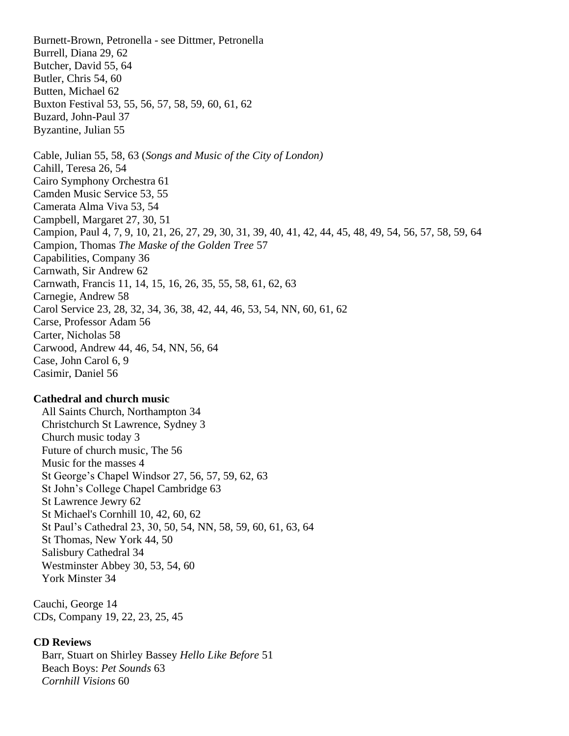Burnett-Brown, Petronella - see Dittmer, Petronella Burrell, Diana 29, 62 Butcher, David 55, 64 Butler, Chris 54, 60 Butten, Michael 62 Buxton Festival 53, 55, 56, 57, 58, 59, 60, 61, 62 Buzard, John-Paul 37 Byzantine, Julian 55 Cable, Julian 55, 58, 63 (*Songs and Music of the City of London)* Cahill, Teresa 26, 54 Cairo Symphony Orchestra 61 Camden Music Service 53, 55 Camerata Alma Viva 53, 54 Campbell, Margaret 27, 30, 51 Campion, Paul 4, 7, 9, 10, 21, 26, 27, 29, 30, 31, 39, 40, 41, 42, 44, 45, 48, 49, 54, 56, 57, 58, 59, 64 Campion, Thomas *The Maske of the Golden Tree* 57 Capabilities, Company 36 Carnwath, Sir Andrew 62 Carnwath, Francis 11, 14, 15, 16, 26, 35, 55, 58, 61, 62, 63 Carnegie, Andrew 58 Carol Service 23, 28, 32, 34, 36, 38, 42, 44, 46, 53, 54, NN, 60, 61, 62 Carse, Professor Adam 56 Carter, Nicholas 58 Carwood, Andrew 44, 46, 54, NN, 56, 64 Case, John Carol 6, 9 Casimir, Daniel 56

## **Cathedral and church music**

 All Saints Church, Northampton 34 Christchurch St Lawrence, Sydney 3 Church music today 3 Future of church music, The 56 Music for the masses 4 St George's Chapel Windsor 27, 56, 57, 59, 62, 63 St John's College Chapel Cambridge 63 St Lawrence Jewry 62 St Michael's Cornhill 10, 42, 60, 62 St Paul's Cathedral 23, 30, 50, 54, NN, 58, 59, 60, 61, 63, 64 St Thomas, New York 44, 50 Salisbury Cathedral 34 Westminster Abbey 30, 53, 54, 60 York Minster 34

Cauchi, George 14 CDs, Company 19, 22, 23, 25, 45

### **CD Reviews**

 Barr, Stuart on Shirley Bassey *Hello Like Before* 51 Beach Boys: *Pet Sounds* 63 *Cornhill Visions* 60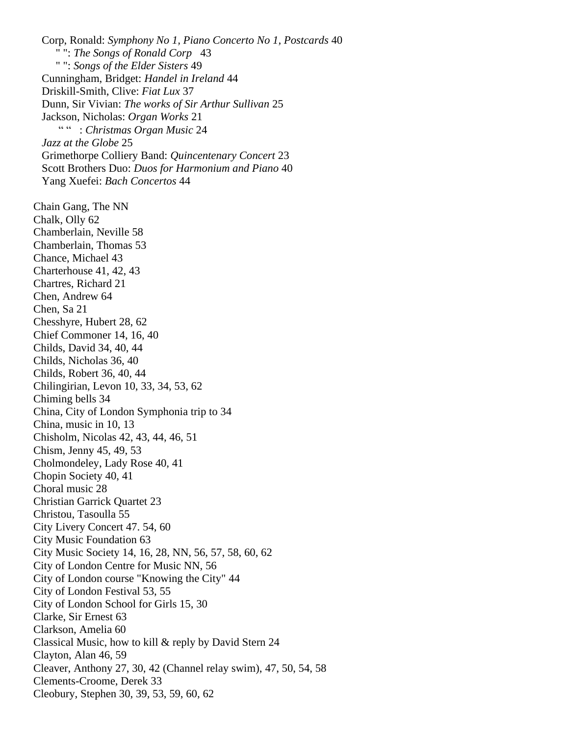Corp, Ronald: *Symphony No 1, Piano Concerto No 1, Postcards* 40 " ": *The Songs of Ronald Corp* 43 " ": *Songs of the Elder Sisters* 49 Cunningham, Bridget: *Handel in Ireland* 44 Driskill-Smith, Clive: *Fiat Lux* 37 Dunn, Sir Vivian: *The works of Sir Arthur Sullivan* 25 Jackson, Nicholas: *Organ Works* 21 " " : *Christmas Organ Music* 24 *Jazz at the Globe* 25 Grimethorpe Colliery Band: *Quincentenary Concert* 23 Scott Brothers Duo: *Duos for Harmonium and Piano* 40 Yang Xuefei: *Bach Concertos* 44 Chain Gang, The NN Chalk, Olly 62 Chamberlain, Neville 58 Chamberlain, Thomas 53 Chance, Michael 43 Charterhouse 41, 42, 43 Chartres, Richard 21 Chen, Andrew 64 Chen, Sa 21 Chesshyre, Hubert 28, 62 Chief Commoner 14, 16, 40 Childs, David 34, 40, 44 Childs, Nicholas 36, 40 Childs, Robert 36, 40, 44 Chilingirian, Levon 10, 33, 34, 53, 62 Chiming bells 34 China, City of London Symphonia trip to 34 China, music in 10, 13 Chisholm, Nicolas 42, 43, 44, 46, 51 Chism, Jenny 45, 49, 53 Cholmondeley, Lady Rose 40, 41 Chopin Society 40, 41 Choral music 28 Christian Garrick Quartet 23 Christou, Tasoulla 55 City Livery Concert 47. 54, 60 City Music Foundation 63 City Music Society 14, 16, 28, NN, 56, 57, 58, 60, 62 City of London Centre for Music NN, 56 City of London course "Knowing the City" 44 City of London Festival 53, 55 City of London School for Girls 15, 30 Clarke, Sir Ernest 63 Clarkson, Amelia 60 Classical Music, how to kill & reply by David Stern 24 Clayton, Alan 46, 59 Cleaver, Anthony 27, 30, 42 (Channel relay swim), 47, 50, 54, 58 Clements-Croome, Derek 33 Cleobury, Stephen 30, 39, 53, 59, 60, 62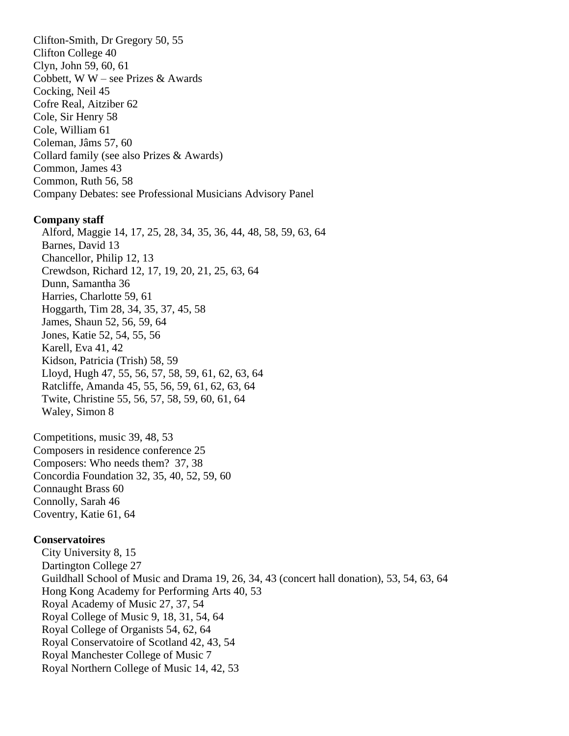Clifton-Smith, Dr Gregory 50, 55 Clifton College 40 Clyn, John 59, 60, 61 Cobbett, W W – see Prizes & Awards Cocking, Neil 45 Cofre Real, Aitziber 62 Cole, Sir Henry 58 Cole, William 61 Coleman, Jâms 57, 60 Collard family (see also Prizes & Awards) Common, James 43 Common, Ruth 56, 58 Company Debates: see Professional Musicians Advisory Panel

## **Company staff**

 Alford, Maggie 14, 17, 25, 28, 34, 35, 36, 44, 48, 58, 59, 63, 64 Barnes, David 13 Chancellor, Philip 12, 13 Crewdson, Richard 12, 17, 19, 20, 21, 25, 63, 64 Dunn, Samantha 36 Harries, Charlotte 59, 61 Hoggarth, Tim 28, 34, 35, 37, 45, 58 James, Shaun 52, 56, 59, 64 Jones, Katie 52, 54, 55, 56 Karell, Eva 41, 42 Kidson, Patricia (Trish) 58, 59 Lloyd, Hugh 47, 55, 56, 57, 58, 59, 61, 62, 63, 64 Ratcliffe, Amanda 45, 55, 56, 59, 61, 62, 63, 64 Twite, Christine 55, 56, 57, 58, 59, 60, 61, 64 Waley, Simon 8

Competitions, music 39, 48, 53 Composers in residence conference 25 Composers: Who needs them? 37, 38 Concordia Foundation 32, 35, 40, 52, 59, 60 Connaught Brass 60 Connolly, Sarah 46 Coventry, Katie 61, 64

#### **Conservatoires**

 City University 8, 15 Dartington College 27 Guildhall School of Music and Drama 19, 26, 34, 43 (concert hall donation), 53, 54, 63, 64 Hong Kong Academy for Performing Arts 40, 53 Royal Academy of Music 27, 37, 54 Royal College of Music 9, 18, 31, 54, 64 Royal College of Organists 54, 62, 64 Royal Conservatoire of Scotland 42, 43, 54 Royal Manchester College of Music 7 Royal Northern College of Music 14, 42, 53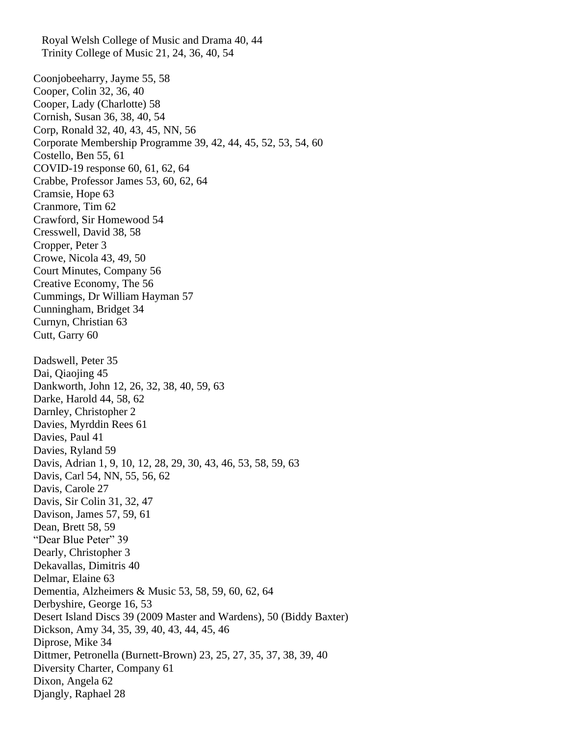Royal Welsh College of Music and Drama 40, 44 Trinity College of Music 21, 24, 36, 40, 54 Coonjobeeharry, Jayme 55, 58 Cooper, Colin 32, 36, 40 Cooper, Lady (Charlotte) 58 Cornish, Susan 36, 38, 40, 54 Corp, Ronald 32, 40, 43, 45, NN, 56 Corporate Membership Programme 39, 42, 44, 45, 52, 53, 54, 60 Costello, Ben 55, 61 COVID-19 response 60, 61, 62, 64 Crabbe, Professor James 53, 60, 62, 64 Cramsie, Hope 63 Cranmore, Tim 62 Crawford, Sir Homewood 54 Cresswell, David 38, 58 Cropper, Peter 3 Crowe, Nicola 43, 49, 50 Court Minutes, Company 56 Creative Economy, The 56 Cummings, Dr William Hayman 57 Cunningham, Bridget 34 Curnyn, Christian 63 Cutt, Garry 60 Dadswell, Peter 35 Dai, Qiaojing 45 Dankworth, John 12, 26, 32, 38, 40, 59, 63 Darke, Harold 44, 58, 62 Darnley, Christopher 2 Davies, Myrddin Rees 61 Davies, Paul 41 Davies, Ryland 59 Davis, Adrian 1, 9, 10, 12, 28, 29, 30, 43, 46, 53, 58, 59, 63 Davis, Carl 54, NN, 55, 56, 62 Davis, Carole 27 Davis, Sir Colin 31, 32, 47 Davison, James 57, 59, 61 Dean, Brett 58, 59 "Dear Blue Peter" 39 Dearly, Christopher 3 Dekavallas, Dimitris 40 Delmar, Elaine 63 Dementia, Alzheimers & Music 53, 58, 59, 60, 62, 64 Derbyshire, George 16, 53 Desert Island Discs 39 (2009 Master and Wardens), 50 (Biddy Baxter) Dickson, Amy 34, 35, 39, 40, 43, 44, 45, 46 Diprose, Mike 34 Dittmer, Petronella (Burnett-Brown) 23, 25, 27, 35, 37, 38, 39, 40 Diversity Charter, Company 61 Dixon, Angela 62 Djangly, Raphael 28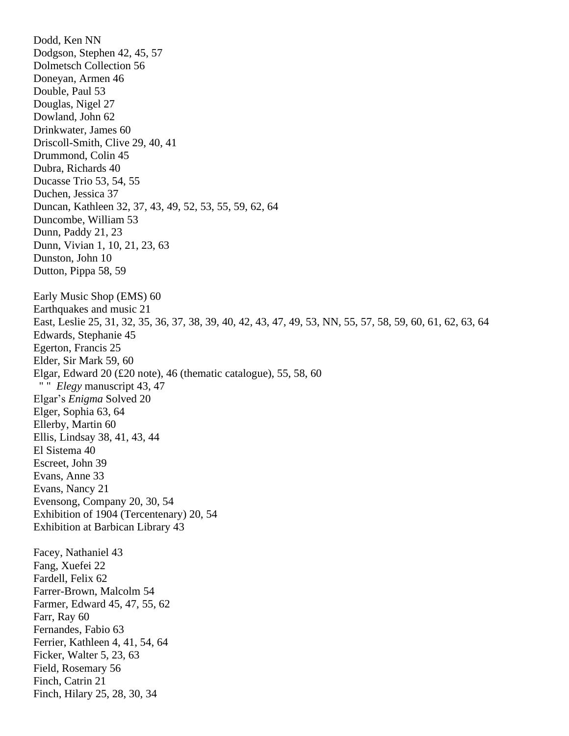Dodd, Ken NN Dodgson, Stephen 42, 45, 57 Dolmetsch Collection 56 Doneyan, Armen 46 Double, Paul 53 Douglas, Nigel 27 Dowland, John 62 Drinkwater, James 60 Driscoll-Smith, Clive 29, 40, 41 Drummond, Colin 45 Dubra, Richards 40 Ducasse Trio 53, 54, 55 Duchen, Jessica 37 Duncan, Kathleen 32, 37, 43, 49, 52, 53, 55, 59, 62, 64 Duncombe, William 53 Dunn, Paddy 21, 23 Dunn, Vivian 1, 10, 21, 23, 63 Dunston, John 10 Dutton, Pippa 58, 59 Early Music Shop (EMS) 60 Earthquakes and music 21 East, Leslie 25, 31, 32, 35, 36, 37, 38, 39, 40, 42, 43, 47, 49, 53, NN, 55, 57, 58, 59, 60, 61, 62, 63, 64 Edwards, Stephanie 45 Egerton, Francis 25 Elder, Sir Mark 59, 60 Elgar, Edward 20 (£20 note), 46 (thematic catalogue), 55, 58, 60 " " *Elegy* manuscript 43, 47 Elgar's *Enigma* Solved 20 Elger, Sophia 63, 64 Ellerby, Martin 60 Ellis, Lindsay 38, 41, 43, 44 El Sistema 40 Escreet, John 39 Evans, Anne 33 Evans, Nancy 21 Evensong, Company 20, 30, 54 Exhibition of 1904 (Tercentenary) 20, 54 Exhibition at Barbican Library 43 Facey, Nathaniel 43 Fang, Xuefei 22 Fardell, Felix 62 Farrer-Brown, Malcolm 54 Farmer, Edward 45, 47, 55, 62 Farr, Ray 60 Fernandes, Fabio 63 Ferrier, Kathleen 4, 41, 54, 64 Ficker, Walter 5, 23, 63 Field, Rosemary 56 Finch, Catrin 21 Finch, Hilary 25, 28, 30, 34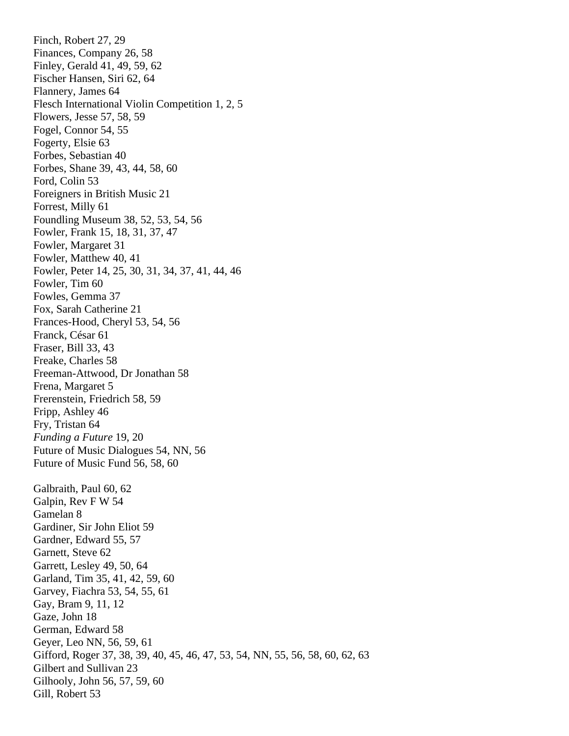Finch, Robert 27, 29 Finances, Company 26, 58 Finley, Gerald 41, 49, 59, 62 Fischer Hansen, Siri 62, 64 Flannery, James 64 Flesch International Violin Competition 1, 2, 5 Flowers, Jesse 57, 58, 59 Fogel, Connor 54, 55 Fogerty, Elsie 63 Forbes, Sebastian 40 Forbes, Shane 39, 43, 44, 58, 60 Ford, Colin 53 Foreigners in British Music 21 Forrest, Milly 61 Foundling Museum 38, 52, 53, 54, 56 Fowler, Frank 15, 18, 31, 37, 47 Fowler, Margaret 31 Fowler, Matthew 40, 41 Fowler, Peter 14, 25, 30, 31, 34, 37, 41, 44, 46 Fowler, Tim 60 Fowles, Gemma 37 Fox, Sarah Catherine 21 Frances-Hood, Cheryl 53, 54, 56 Franck, César 61 Fraser, Bill 33, 43 Freake, Charles 58 Freeman-Attwood, Dr Jonathan 58 Frena, Margaret 5 Frerenstein, Friedrich 58, 59 Fripp, Ashley 46 Fry, Tristan 64 *Funding a Future* 19, 20 Future of Music Dialogues 54, NN, 56 Future of Music Fund 56, 58, 60 Galbraith, Paul 60, 62 Galpin, Rev F W 54 Gamelan 8 Gardiner, Sir John Eliot 59 Gardner, Edward 55, 57 Garnett, Steve 62 Garrett, Lesley 49, 50, 64 Garland, Tim 35, 41, 42, 59, 60 Garvey, Fiachra 53, 54, 55, 61 Gay, Bram 9, 11, 12 Gaze, John 18 German, Edward 58 Geyer, Leo NN, 56, 59, 61 Gifford, Roger 37, 38, 39, 40, 45, 46, 47, 53, 54, NN, 55, 56, 58, 60, 62, 63 Gilbert and Sullivan 23 Gilhooly, John 56, 57, 59, 60 Gill, Robert 53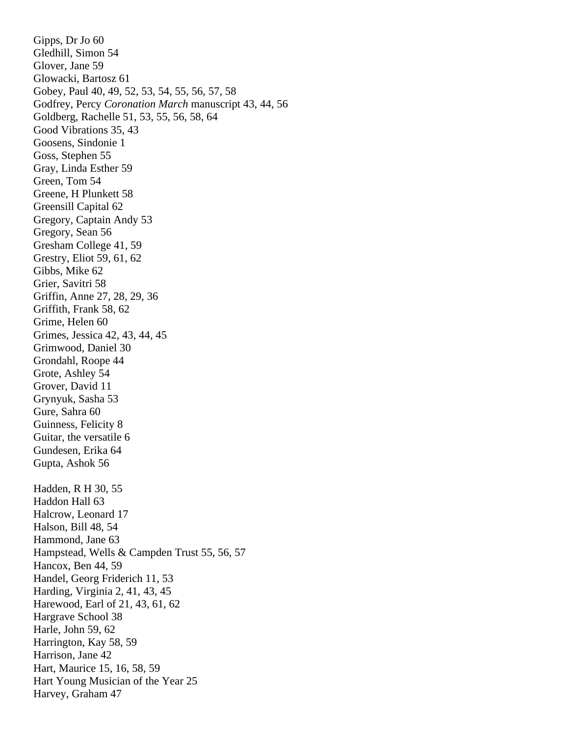Gipps, Dr Jo 60 Gledhill, Simon 54 Glover, Jane 59 Glowacki, Bartosz 61 Gobey, Paul 40, 49, 52, 53, 54, 55, 56, 57, 58 Godfrey, Percy *Coronation March* manuscript 43, 44, 56 Goldberg, Rachelle 51, 53, 55, 56, 58, 64 Good Vibrations 35, 43 Goosens, Sindonie 1 Goss, Stephen 55 Gray, Linda Esther 59 Green, Tom 54 Greene, H Plunkett 58 Greensill Capital 62 Gregory, Captain Andy 53 Gregory, Sean 56 Gresham College 41, 59 Grestry, Eliot 59, 61, 62 Gibbs, Mike 62 Grier, Savitri 58 Griffin, Anne 27, 28, 29, 36 Griffith, Frank 58, 62 Grime, Helen 60 Grimes, Jessica 42, 43, 44, 45 Grimwood, Daniel 30 Grondahl, Roope 44 Grote, Ashley 54 Grover, David 11 Grynyuk, Sasha 53 Gure, Sahra 60 Guinness, Felicity 8 Guitar, the versatile 6 Gundesen, Erika 64 Gupta, Ashok 56 Hadden, R H 30, 55 Haddon Hall 63 Halcrow, Leonard 17 Halson, Bill 48, 54 Hammond, Jane 63 Hampstead, Wells & Campden Trust 55, 56, 57 Hancox, Ben 44, 59 Handel, Georg Friderich 11, 53 Harding, Virginia 2, 41, 43, 45 Harewood, Earl of 21, 43, 61, 62 Hargrave School 38 Harle, John 59, 62 Harrington, Kay 58, 59 Harrison, Jane 42 Hart, Maurice 15, 16, 58, 59 Hart Young Musician of the Year 25 Harvey, Graham 47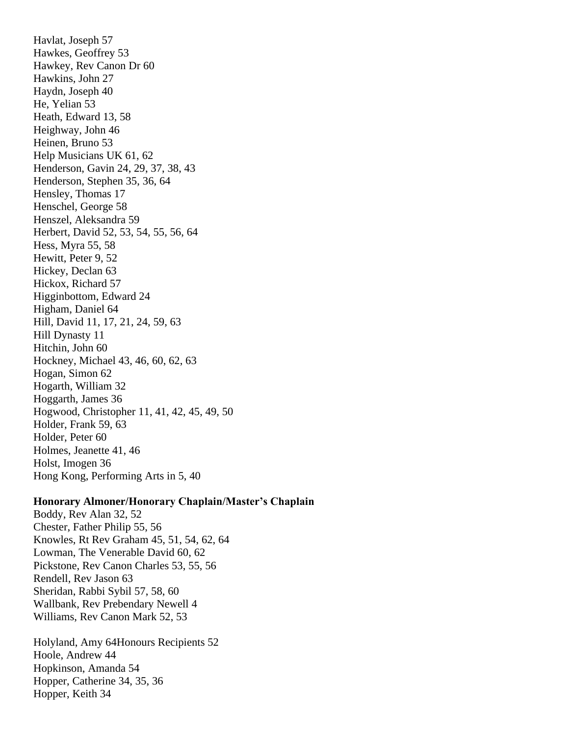Havlat, Joseph 57 Hawkes, Geoffrey 53 Hawkey, Rev Canon Dr 60 Hawkins, John 27 Haydn, Joseph 40 He, Yelian 53 Heath, Edward 13, 58 Heighway, John 46 Heinen, Bruno 53 Help Musicians UK 61, 62 Henderson, Gavin 24, 29, 37, 38, 43 Henderson, Stephen 35, 36, 64 Hensley, Thomas 17 Henschel, George 58 Henszel, Aleksandra 59 Herbert, David 52, 53, 54, 55, 56, 64 Hess, Myra 55, 58 Hewitt, Peter 9, 52 Hickey, Declan 63 Hickox, Richard 57 Higginbottom, Edward 24 Higham, Daniel 64 Hill, David 11, 17, 21, 24, 59, 63 Hill Dynasty 11 Hitchin, John 60 Hockney, Michael 43, 46, 60, 62, 63 Hogan, Simon 62 Hogarth, William 32 Hoggarth, James 36 Hogwood, Christopher 11, 41, 42, 45, 49, 50 Holder, Frank 59, 63 Holder, Peter 60 Holmes, Jeanette 41, 46 Holst, Imogen 36 Hong Kong, Performing Arts in 5, 40

# **Honorary Almoner/Honorary Chaplain/Master's Chaplain**

Boddy, Rev Alan 32, 52 Chester, Father Philip 55, 56 Knowles, Rt Rev Graham 45, 51, 54, 62, 64 Lowman, The Venerable David 60, 62 Pickstone, Rev Canon Charles 53, 55, 56 Rendell, Rev Jason 63 Sheridan, Rabbi Sybil 57, 58, 60 Wallbank, Rev Prebendary Newell 4 Williams, Rev Canon Mark 52, 53

Holyland, Amy 64Honours Recipients 52 Hoole, Andrew 44 Hopkinson, Amanda 54 Hopper, Catherine 34, 35, 36 Hopper, Keith 34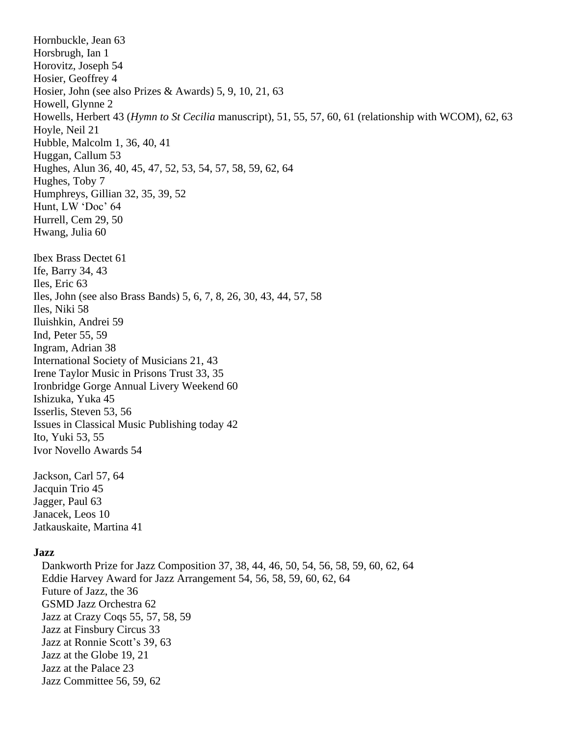Hornbuckle, Jean 63 Horsbrugh, Ian 1 Horovitz, Joseph 54 Hosier, Geoffrey 4 Hosier, John (see also Prizes & Awards) 5, 9, 10, 21, 63 Howell, Glynne 2 Howells, Herbert 43 (*Hymn to St Cecilia* manuscript), 51, 55, 57, 60, 61 (relationship with WCOM), 62, 63 Hoyle, Neil 21 Hubble, Malcolm 1, 36, 40, 41 Huggan, Callum 53 Hughes, Alun 36, 40, 45, 47, 52, 53, 54, 57, 58, 59, 62, 64 Hughes, Toby 7 Humphreys, Gillian 32, 35, 39, 52 Hunt, LW 'Doc' 64 Hurrell, Cem 29, 50 Hwang, Julia 60 Ibex Brass Dectet 61 Ife, Barry 34, 43 Iles, Eric 63 Iles, John (see also Brass Bands) 5, 6, 7, 8, 26, 30, 43, 44, 57, 58 Iles, Niki 58 Iluishkin, Andrei 59 Ind, Peter 55, 59 Ingram, Adrian 38 International Society of Musicians 21, 43 Irene Taylor Music in Prisons Trust 33, 35 Ironbridge Gorge Annual Livery Weekend 60 Ishizuka, Yuka 45 Isserlis, Steven 53, 56 Issues in Classical Music Publishing today 42 Ito, Yuki 53, 55 Ivor Novello Awards 54 Jackson, Carl 57, 64 Jacquin Trio 45 Jagger, Paul 63 Janacek, Leos 10 Jatkauskaite, Martina 41 **Jazz** Dankworth Prize for Jazz Composition 37, 38, 44, 46, 50, 54, 56, 58, 59, 60, 62, 64 Eddie Harvey Award for Jazz Arrangement 54, 56, 58, 59, 60, 62, 64 Future of Jazz, the 36 GSMD Jazz Orchestra 62 Jazz at Crazy Coqs 55, 57, 58, 59 Jazz at Finsbury Circus 33 Jazz at Ronnie Scott's 39, 63 Jazz at the Globe 19, 21 Jazz at the Palace 23 Jazz Committee 56, 59, 62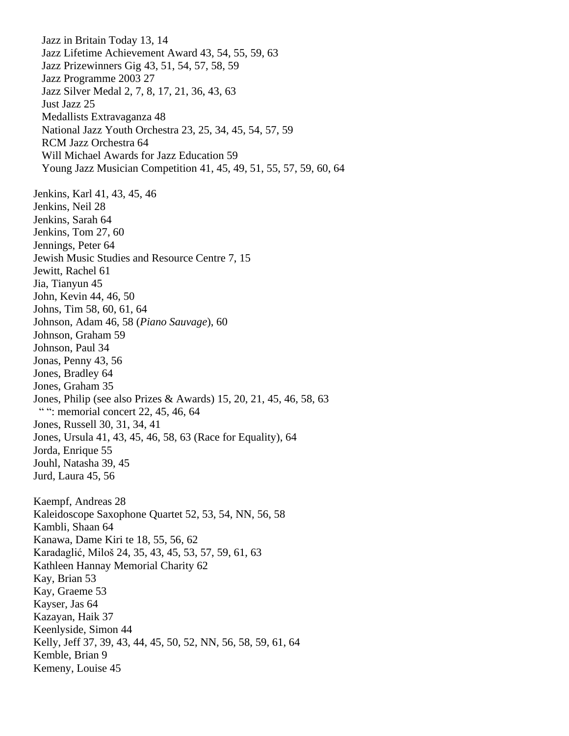Jazz in Britain Today 13, 14 Jazz Lifetime Achievement Award 43, 54, 55, 59, 63 Jazz Prizewinners Gig 43, 51, 54, 57, 58, 59 Jazz Programme 2003 27 Jazz Silver Medal 2, 7, 8, 17, 21, 36, 43, 63 Just Jazz 25 Medallists Extravaganza 48 National Jazz Youth Orchestra 23, 25, 34, 45, 54, 57, 59 RCM Jazz Orchestra 64 Will Michael Awards for Jazz Education 59 Young Jazz Musician Competition 41, 45, 49, 51, 55, 57, 59, 60, 64 Jenkins, Karl 41, 43, 45, 46 Jenkins, Neil 28 Jenkins, Sarah 64 Jenkins, Tom 27, 60 Jennings, Peter 64 Jewish Music Studies and Resource Centre 7, 15 Jewitt, Rachel 61 Jia, Tianyun 45 John, Kevin 44, 46, 50 Johns, Tim 58, 60, 61, 64 Johnson, Adam 46, 58 (*Piano Sauvage*), 60 Johnson, Graham 59 Johnson, Paul 34 Jonas, Penny 43, 56 Jones, Bradley 64 Jones, Graham 35 Jones, Philip (see also Prizes & Awards) 15, 20, 21, 45, 46, 58, 63 "": memorial concert 22, 45, 46, 64 Jones, Russell 30, 31, 34, 41 Jones, Ursula 41, 43, 45, 46, 58, 63 (Race for Equality), 64 Jorda, Enrique 55 Jouhl, Natasha 39, 45 Jurd, Laura 45, 56 Kaempf, Andreas 28 Kaleidoscope Saxophone Quartet 52, 53, 54, NN, 56, 58 Kambli, Shaan 64 Kanawa, Dame Kiri te 18, 55, 56, 62 Karadaglić, Miloš 24, 35, 43, 45, 53, 57, 59, 61, 63 Kathleen Hannay Memorial Charity 62 Kay, Brian 53 Kay, Graeme 53 Kayser, Jas 64 Kazayan, Haik 37 Keenlyside, Simon 44 Kelly, Jeff 37, 39, 43, 44, 45, 50, 52, NN, 56, 58, 59, 61, 64 Kemble, Brian 9 Kemeny, Louise 45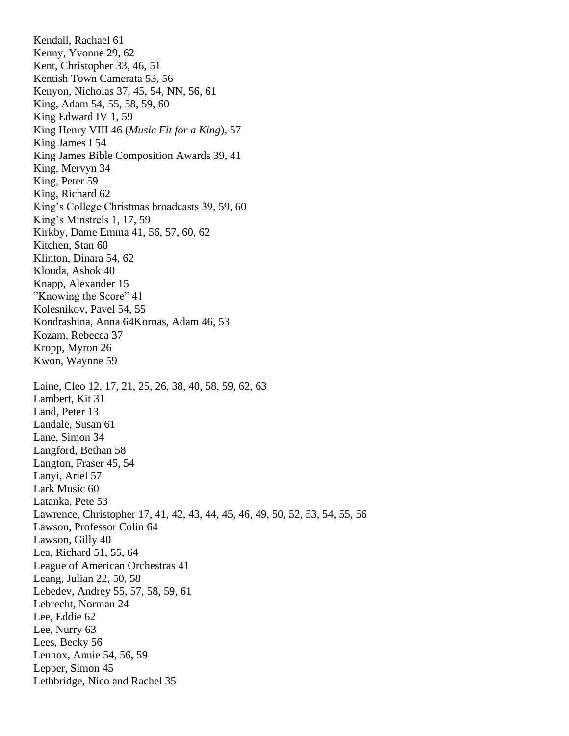Kendall, Rachael 61 Kenny, Yvonne 29, 62 Kent, Christopher 33, 46, 51 Kentish Town Camerata 53, 56 Kenyon, Nicholas 37, 45, 54, NN, 56, 61 King, Adam 54, 55, 58, 59, 60 King Edward IV 1, 59 King Henry VIII 46 (*Music Fit for a King*), 57 King James I 54 King James Bible Composition Awards 39, 41 King, Mervyn 34 King, Peter 59 King, Richard 62 King's College Christmas broadcasts 39, 59, 60 King's Minstrels 1, 17, 59 Kirkby, Dame Emma 41, 56, 57, 60, 62 Kitchen, Stan 60 Klinton, Dinara 54, 62 Klouda, Ashok 40 Knapp, Alexander 15 "Knowing the Score" 41 Kolesnikov, Pavel 54, 55 Kondrashina, Anna 64Kornas, Adam 46, 53 Kozam, Rebecca 37 Kropp, Myron 26 Kwon, Waynne 59 Laine, Cleo 12, 17, 21, 25, 26, 38, 40, 58, 59, 62, 63 Lambert, Kit 31 Land, Peter 13 Landale, Susan 61 Lane, Simon 34 Langford, Bethan 58 Langton, Fraser 45, 54 Lanyi, Ariel 57 Lark Music 60 Latanka, Pete 53 Lawrence, Christopher 17, 41, 42, 43, 44, 45, 46, 49, 50, 52, 53, 54, 55, 56 Lawson, Professor Colin 64 Lawson, Gilly 40 Lea, Richard 51, 55, 64 League of American Orchestras 41 Leang, Julian 22, 50, 58 Lebedev, Andrey 55, 57, 58, 59, 61 Lebrecht, Norman 24 Lee, Eddie 62 Lee, Nurry 63 Lees, Becky 56 Lennox, Annie 54, 56, 59 Lepper, Simon 45 Lethbridge, Nico and Rachel 35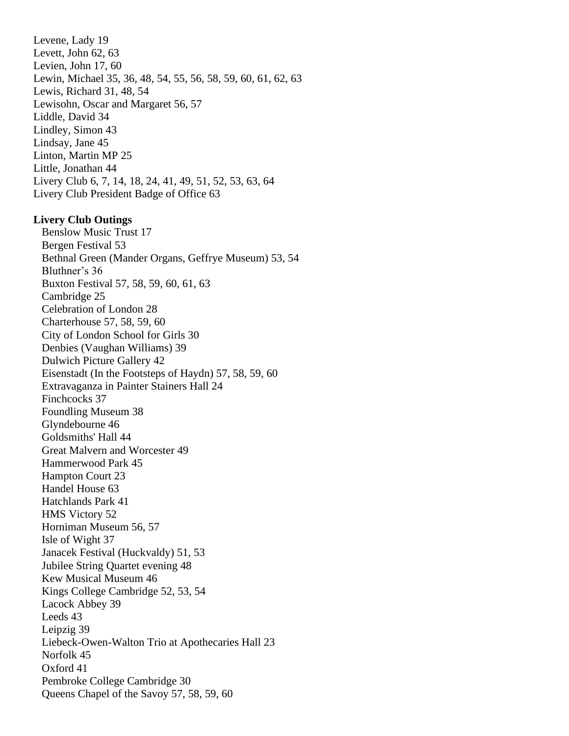Levene, Lady 19 Levett, John 62, 63 Levien, John 17, 60 Lewin, Michael 35, 36, 48, 54, 55, 56, 58, 59, 60, 61, 62, 63 Lewis, Richard 31, 48, 54 Lewisohn, Oscar and Margaret 56, 57 Liddle, David 34 Lindley, Simon 43 Lindsay, Jane 45 Linton, Martin MP 25 Little, Jonathan 44 Livery Club 6, 7, 14, 18, 24, 41, 49, 51, 52, 53, 63, 64 Livery Club President Badge of Office 63

### **Livery Club Outings**

 Benslow Music Trust 17 Bergen Festival 53 Bethnal Green (Mander Organs, Geffrye Museum) 53, 54 Bluthner's 36 Buxton Festival 57, 58, 59, 60, 61, 63 Cambridge 25 Celebration of London 28 Charterhouse 57, 58, 59, 60 City of London School for Girls 30 Denbies (Vaughan Williams) 39 Dulwich Picture Gallery 42 Eisenstadt (In the Footsteps of Haydn) 57, 58, 59, 60 Extravaganza in Painter Stainers Hall 24 Finchcocks 37 Foundling Museum 38 Glyndebourne 46 Goldsmiths' Hall 44 Great Malvern and Worcester 49 Hammerwood Park 45 Hampton Court 23 Handel House 63 Hatchlands Park 41 HMS Victory 52 Horniman Museum 56, 57 Isle of Wight 37 Janacek Festival (Huckvaldy) 51, 53 Jubilee String Quartet evening 48 Kew Musical Museum 46 Kings College Cambridge 52, 53, 54 Lacock Abbey 39 Leeds 43 Leipzig 39 Liebeck-Owen-Walton Trio at Apothecaries Hall 23 Norfolk 45 Oxford 41 Pembroke College Cambridge 30 Queens Chapel of the Savoy 57, 58, 59, 60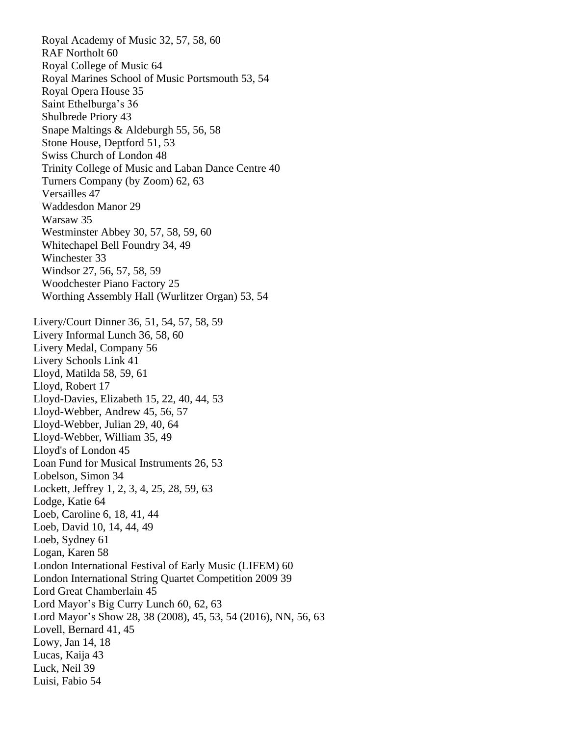Royal Academy of Music 32, 57, 58, 60 RAF Northolt 60 Royal College of Music 64 Royal Marines School of Music Portsmouth 53, 54 Royal Opera House 35 Saint Ethelburga's 36 Shulbrede Priory 43 Snape Maltings & Aldeburgh 55, 56, 58 Stone House, Deptford 51, 53 Swiss Church of London 48 Trinity College of Music and Laban Dance Centre 40 Turners Company (by Zoom) 62, 63 Versailles 47 Waddesdon Manor 29 Warsaw 35 Westminster Abbey 30, 57, 58, 59, 60 Whitechapel Bell Foundry 34, 49 Winchester 33 Windsor 27, 56, 57, 58, 59 Woodchester Piano Factory 25 Worthing Assembly Hall (Wurlitzer Organ) 53, 54 Livery/Court Dinner 36, 51, 54, 57, 58, 59 Livery Informal Lunch 36, 58, 60 Livery Medal, Company 56 Livery Schools Link 41 Lloyd, Matilda 58, 59, 61 Lloyd, Robert 17 Lloyd-Davies, Elizabeth 15, 22, 40, 44, 53 Lloyd-Webber, Andrew 45, 56, 57 Lloyd-Webber, Julian 29, 40, 64 Lloyd-Webber, William 35, 49 Lloyd's of London 45 Loan Fund for Musical Instruments 26, 53 Lobelson, Simon 34 Lockett, Jeffrey 1, 2, 3, 4, 25, 28, 59, 63 Lodge, Katie 64 Loeb, Caroline 6, 18, 41, 44 Loeb, David 10, 14, 44, 49 Loeb, Sydney 61 Logan, Karen 58 London International Festival of Early Music (LIFEM) 60 London International String Quartet Competition 2009 39 Lord Great Chamberlain 45 Lord Mayor's Big Curry Lunch 60, 62, 63 Lord Mayor's Show 28, 38 (2008), 45, 53, 54 (2016), NN, 56, 63 Lovell, Bernard 41, 45 Lowy, Jan 14, 18 Lucas, Kaija 43 Luck, Neil 39 Luisi, Fabio 54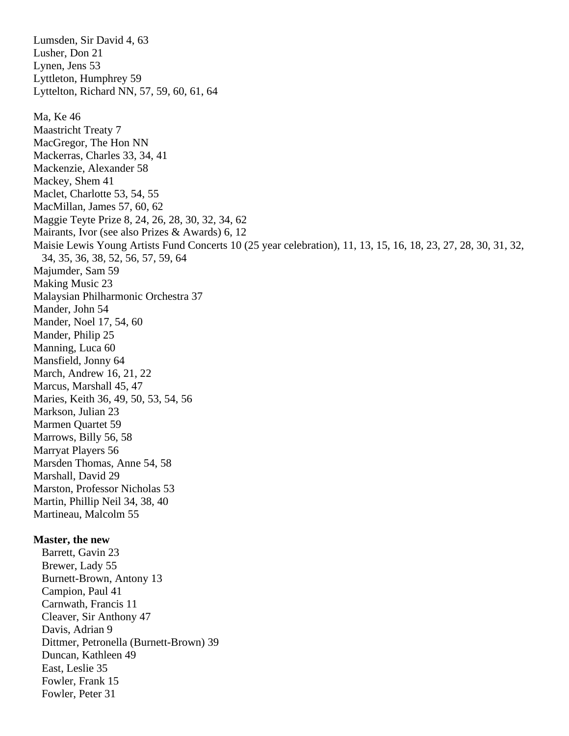Lumsden, Sir David 4, 63 Lusher, Don 21 Lynen, Jens 53 Lyttleton, Humphrey 59 Lyttelton, Richard NN, 57, 59, 60, 61, 64 Ma, Ke 46 Maastricht Treaty 7 MacGregor, The Hon NN Mackerras, Charles 33, 34, 41 Mackenzie, Alexander 58 Mackey, Shem 41 Maclet, Charlotte 53, 54, 55 MacMillan, James 57, 60, 62 Maggie Teyte Prize 8, 24, 26, 28, 30, 32, 34, 62 Mairants, Ivor (see also Prizes & Awards) 6, 12 Maisie Lewis Young Artists Fund Concerts 10 (25 year celebration), 11, 13, 15, 16, 18, 23, 27, 28, 30, 31, 32, 34, 35, 36, 38, 52, 56, 57, 59, 64 Majumder, Sam 59 Making Music 23 Malaysian Philharmonic Orchestra 37 Mander, John 54 Mander, Noel 17, 54, 60 Mander, Philip 25 Manning, Luca 60 Mansfield, Jonny 64 March, Andrew 16, 21, 22 Marcus, Marshall 45, 47 Maries, Keith 36, 49, 50, 53, 54, 56 Markson, Julian 23 Marmen Quartet 59 Marrows, Billy 56, 58 Marryat Players 56 Marsden Thomas, Anne 54, 58 Marshall, David 29 Marston, Professor Nicholas 53 Martin, Phillip Neil 34, 38, 40 Martineau, Malcolm 55 **Master, the new**

 Barrett, Gavin 23 Brewer, Lady 55 Burnett-Brown, Antony 13 Campion, Paul 41 Carnwath, Francis 11 Cleaver, Sir Anthony 47 Davis, Adrian 9 Dittmer, Petronella (Burnett-Brown) 39 Duncan, Kathleen 49 East, Leslie 35 Fowler, Frank 15 Fowler, Peter 31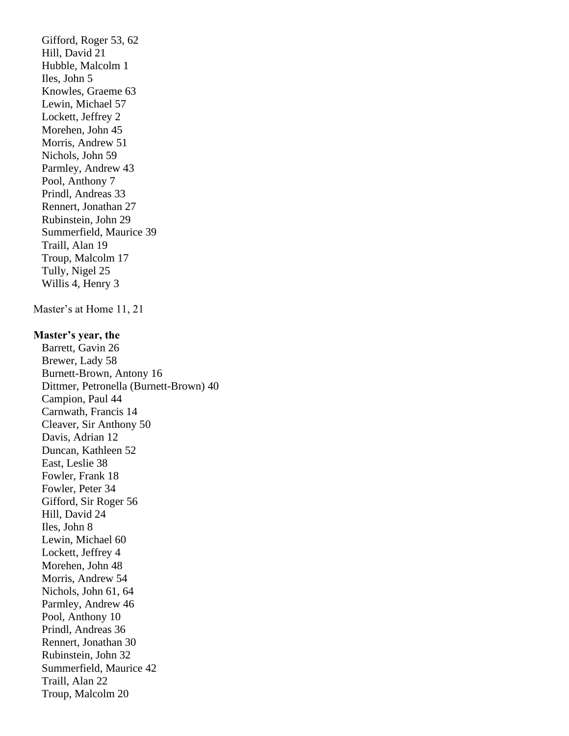Gifford, Roger 53, 62 Hill, David 21 Hubble, Malcolm 1 Iles, John 5 Knowles, Graeme 63 Lewin, Michael 57 Lockett, Jeffrey 2 Morehen, John 45 Morris, Andrew 51 Nichols, John 59 Parmley, Andrew 43 Pool, Anthony 7 Prindl, Andreas 33 Rennert, Jonathan 27 Rubinstein, John 29 Summerfield, Maurice 39 Traill, Alan 19 Troup, Malcolm 17 Tully, Nigel 25 Willis 4, Henry 3 Master's at Home 11, 21 **Master's year, the** Barrett, Gavin 26 Brewer, Lady 58 Burnett-Brown, Antony 16 Dittmer, Petronella (Burnett-Brown) 40 Campion, Paul 44 Carnwath, Francis 14 Cleaver, Sir Anthony 50 Davis, Adrian 12 Duncan, Kathleen 52 East, Leslie 38 Fowler, Frank 18 Fowler, Peter 34 Gifford, Sir Roger 56 Hill, David 24 Iles, John 8 Lewin, Michael 60 Lockett, Jeffrey 4 Morehen, John 48 Morris, Andrew 54 Nichols, John 61, 64 Parmley, Andrew 46 Pool, Anthony 10 Prindl, Andreas 36 Rennert, Jonathan 30 Rubinstein, John 32 Summerfield, Maurice 42 Traill, Alan 22 Troup, Malcolm 20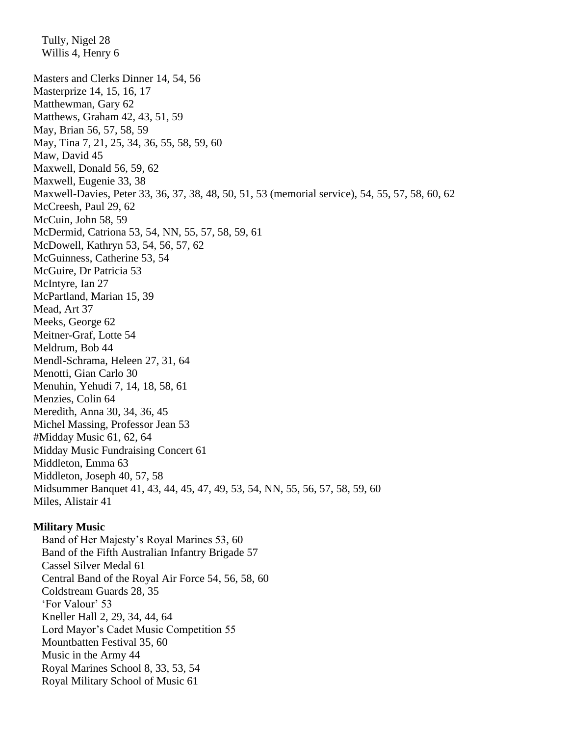Tully, Nigel 28 Willis 4, Henry 6 Masters and Clerks Dinner 14, 54, 56 Masterprize 14, 15, 16, 17 Matthewman, Gary 62 Matthews, Graham 42, 43, 51, 59 May, Brian 56, 57, 58, 59 May, Tina 7, 21, 25, 34, 36, 55, 58, 59, 60 Maw, David 45 Maxwell, Donald 56, 59, 62 Maxwell, Eugenie 33, 38 Maxwell-Davies, Peter 33, 36, 37, 38, 48, 50, 51, 53 (memorial service), 54, 55, 57, 58, 60, 62 McCreesh, Paul 29, 62 McCuin, John 58, 59 McDermid, Catriona 53, 54, NN, 55, 57, 58, 59, 61 McDowell, Kathryn 53, 54, 56, 57, 62 McGuinness, Catherine 53, 54 McGuire, Dr Patricia 53 McIntyre, Ian 27 McPartland, Marian 15, 39 Mead, Art 37 Meeks, George 62 Meitner-Graf, Lotte 54 Meldrum, Bob 44 Mendl-Schrama, Heleen 27, 31, 64 Menotti, Gian Carlo 30 Menuhin, Yehudi 7, 14, 18, 58, 61 Menzies, Colin 64 Meredith, Anna 30, 34, 36, 45 Michel Massing, Professor Jean 53 #Midday Music 61, 62, 64 Midday Music Fundraising Concert 61 Middleton, Emma 63 Middleton, Joseph 40, 57, 58 Midsummer Banquet 41, 43, 44, 45, 47, 49, 53, 54, NN, 55, 56, 57, 58, 59, 60 Miles, Alistair 41

## **Military Music**

 Band of Her Majesty's Royal Marines 53, 60 Band of the Fifth Australian Infantry Brigade 57 Cassel Silver Medal 61 Central Band of the Royal Air Force 54, 56, 58, 60 Coldstream Guards 28, 35 'For Valour' 53 Kneller Hall 2, 29, 34, 44, 64 Lord Mayor's Cadet Music Competition 55 Mountbatten Festival 35, 60 Music in the Army 44 Royal Marines School 8, 33, 53, 54 Royal Military School of Music 61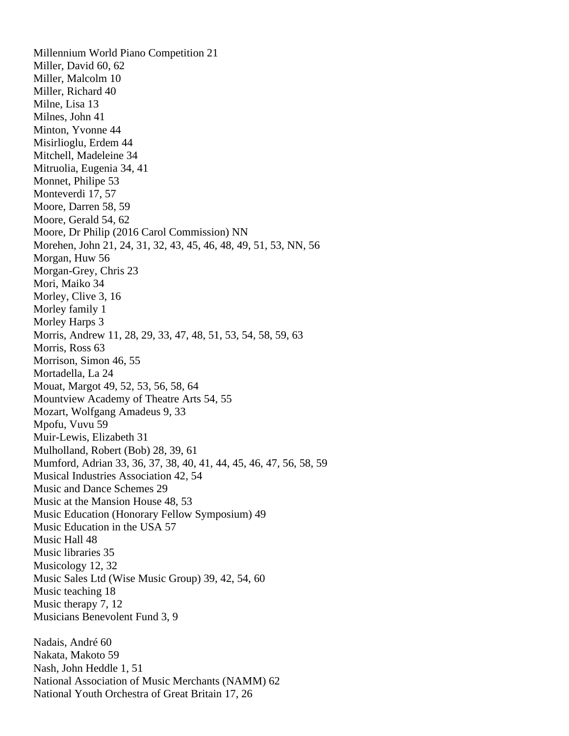Millennium World Piano Competition 21 Miller, David 60, 62 Miller, Malcolm 10 Miller, Richard 40 Milne, Lisa 13 Milnes, John 41 Minton, Yvonne 44 Misirlioglu, Erdem 44 Mitchell, Madeleine 34 Mitruolia, Eugenia 34, 41 Monnet, Philipe 53 Monteverdi 17, 57 Moore, Darren 58, 59 Moore, Gerald 54, 62 Moore, Dr Philip (2016 Carol Commission) NN Morehen, John 21, 24, 31, 32, 43, 45, 46, 48, 49, 51, 53, NN, 56 Morgan, Huw 56 Morgan-Grey, Chris 23 Mori, Maiko 34 Morley, Clive 3, 16 Morley family 1 Morley Harps 3 Morris, Andrew 11, 28, 29, 33, 47, 48, 51, 53, 54, 58, 59, 63 Morris, Ross 63 Morrison, Simon 46, 55 Mortadella, La 24 Mouat, Margot 49, 52, 53, 56, 58, 64 Mountview Academy of Theatre Arts 54, 55 Mozart, Wolfgang Amadeus 9, 33 Mpofu, Vuvu 59 Muir-Lewis, Elizabeth 31 Mulholland, Robert (Bob) 28, 39, 61 Mumford, Adrian 33, 36, 37, 38, 40, 41, 44, 45, 46, 47, 56, 58, 59 Musical Industries Association 42, 54 Music and Dance Schemes 29 Music at the Mansion House 48, 53 Music Education (Honorary Fellow Symposium) 49 Music Education in the USA 57 Music Hall 48 Music libraries 35 Musicology 12, 32 Music Sales Ltd (Wise Music Group) 39, 42, 54, 60 Music teaching 18 Music therapy 7, 12 Musicians Benevolent Fund 3, 9 Nadais, André 60 Nakata, Makoto 59 Nash, John Heddle 1, 51 National Association of Music Merchants (NAMM) 62

National Youth Orchestra of Great Britain 17, 26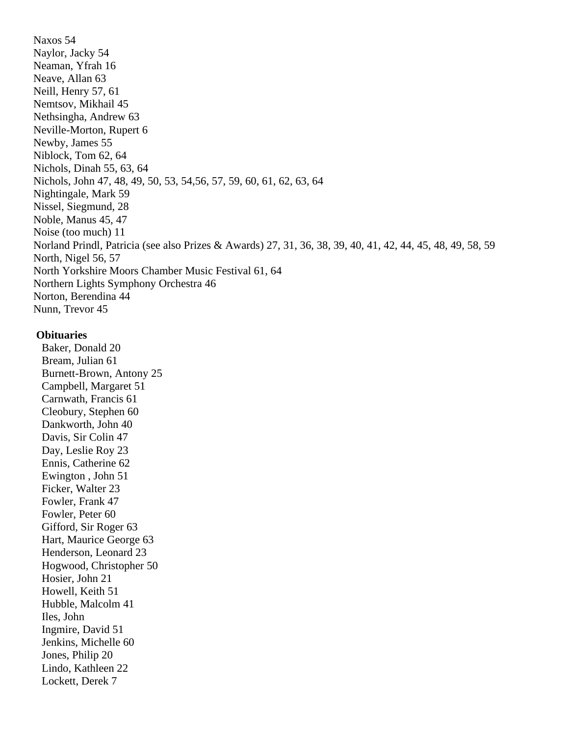Naxos 54 Naylor, Jacky 54 Neaman, Yfrah 16 Neave, Allan 63 Neill, Henry 57, 61 Nemtsov, Mikhail 45 Nethsingha, Andrew 63 Neville-Morton, Rupert 6 Newby, James 55 Niblock, Tom 62, 64 Nichols, Dinah 55, 63, 64 Nichols, John 47, 48, 49, 50, 53, 54,56, 57, 59, 60, 61, 62, 63, 64 Nightingale, Mark 59 Nissel, Siegmund, 28 Noble, Manus 45, 47 Noise (too much) 11 Norland Prindl, Patricia (see also Prizes & Awards) 27, 31, 36, 38, 39, 40, 41, 42, 44, 45, 48, 49, 58, 59 North, Nigel 56, 57 North Yorkshire Moors Chamber Music Festival 61, 64 Northern Lights Symphony Orchestra 46 Norton, Berendina 44 Nunn, Trevor 45

## **Obituaries**

 Baker, Donald 20 Bream, Julian 61 Burnett-Brown, Antony 25 Campbell, Margaret 51 Carnwath, Francis 61 Cleobury, Stephen 60 Dankworth, John 40 Davis, Sir Colin 47 Day, Leslie Roy 23 Ennis, Catherine 62 Ewington , John 51 Ficker, Walter 23 Fowler, Frank 47 Fowler, Peter 60 Gifford, Sir Roger 63 Hart, Maurice George 63 Henderson, Leonard 23 Hogwood, Christopher 50 Hosier, John 21 Howell, Keith 51 Hubble, Malcolm 41 Iles, John Ingmire, David 51 Jenkins, Michelle 60 Jones, Philip 20 Lindo, Kathleen 22 Lockett, Derek 7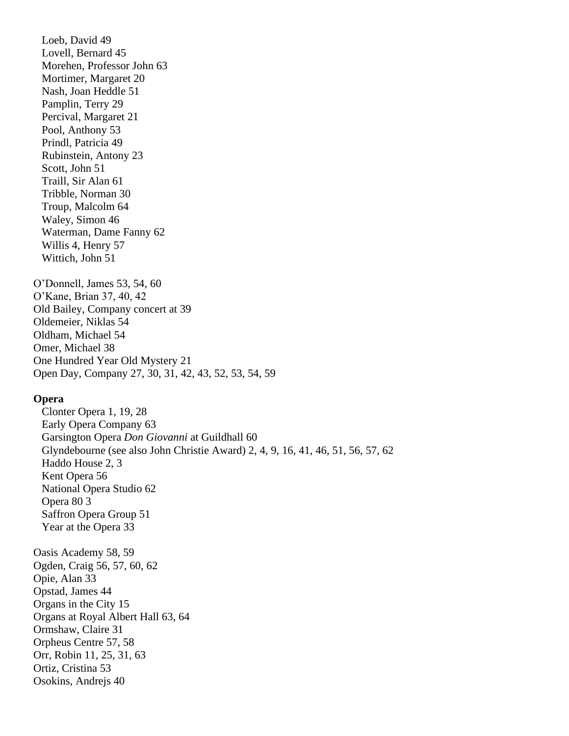Loeb, David 49 Lovell, Bernard 45 Morehen, Professor John 63 Mortimer, Margaret 20 Nash, Joan Heddle 51 Pamplin, Terry 29 Percival, Margaret 21 Pool, Anthony 53 Prindl, Patricia 49 Rubinstein, Antony 23 Scott, John 51 Traill, Sir Alan 61 Tribble, Norman 30 Troup, Malcolm 64 Waley, Simon 46 Waterman, Dame Fanny 62 Willis 4, Henry 57 Wittich, John 51

O'Donnell, James 53, 54, 60 O'Kane, Brian 37, 40, 42 Old Bailey, Company concert at 39 Oldemeier, Niklas 54 Oldham, Michael 54 Omer, Michael 38 One Hundred Year Old Mystery 21 Open Day, Company 27, 30, 31, 42, 43, 52, 53, 54, 59

# **Opera**

 Clonter Opera 1, 19, 28 Early Opera Company 63 Garsington Opera *Don Giovanni* at Guildhall 60 Glyndebourne (see also John Christie Award) 2, 4, 9, 16, 41, 46, 51, 56, 57, 62 Haddo House 2, 3 Kent Opera 56 National Opera Studio 62 Opera 80 3 Saffron Opera Group 51 Year at the Opera 33 Oasis Academy 58, 59 Ogden, Craig 56, 57, 60, 62 Opie, Alan 33 Opstad, James 44 Organs in the City 15 Organs at Royal Albert Hall 63, 64 Ormshaw, Claire 31 Orpheus Centre 57, 58 Orr, Robin 11, 25, 31, 63 Ortiz, Cristina 53 Osokins, Andrejs 40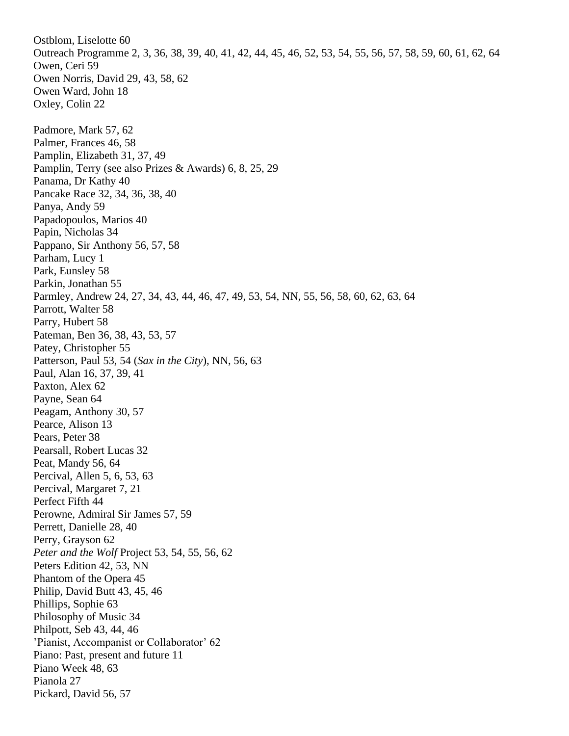Ostblom, Liselotte 60 Outreach Programme 2, 3, 36, 38, 39, 40, 41, 42, 44, 45, 46, 52, 53, 54, 55, 56, 57, 58, 59, 60, 61, 62, 64 Owen, Ceri 59 Owen Norris, David 29, 43, 58, 62 Owen Ward, John 18 Oxley, Colin 22 Padmore, Mark 57, 62 Palmer, Frances 46, 58 Pamplin, Elizabeth 31, 37, 49 Pamplin, Terry (see also Prizes & Awards) 6, 8, 25, 29 Panama, Dr Kathy 40 Pancake Race 32, 34, 36, 38, 40 Panya, Andy 59 Papadopoulos, Marios 40 Papin, Nicholas 34 Pappano, Sir Anthony 56, 57, 58 Parham, Lucy 1 Park, Eunsley 58 Parkin, Jonathan 55 Parmley, Andrew 24, 27, 34, 43, 44, 46, 47, 49, 53, 54, NN, 55, 56, 58, 60, 62, 63, 64 Parrott, Walter 58 Parry, Hubert 58 Pateman, Ben 36, 38, 43, 53, 57 Patey, Christopher 55 Patterson, Paul 53, 54 (*Sax in the City*), NN, 56, 63 Paul, Alan 16, 37, 39, 41 Paxton, Alex 62 Payne, Sean 64 Peagam, Anthony 30, 57 Pearce, Alison 13 Pears, Peter 38 Pearsall, Robert Lucas 32 Peat, Mandy 56, 64 Percival, Allen 5, 6, 53, 63 Percival, Margaret 7, 21 Perfect Fifth 44 Perowne, Admiral Sir James 57, 59 Perrett, Danielle 28, 40 Perry, Grayson 62 *Peter and the Wolf* Project 53, 54, 55, 56, 62 Peters Edition 42, 53, NN Phantom of the Opera 45 Philip, David Butt 43, 45, 46 Phillips, Sophie 63 Philosophy of Music 34 Philpott, Seb 43, 44, 46 'Pianist, Accompanist or Collaborator' 62 Piano: Past, present and future 11 Piano Week 48, 63 Pianola 27 Pickard, David 56, 57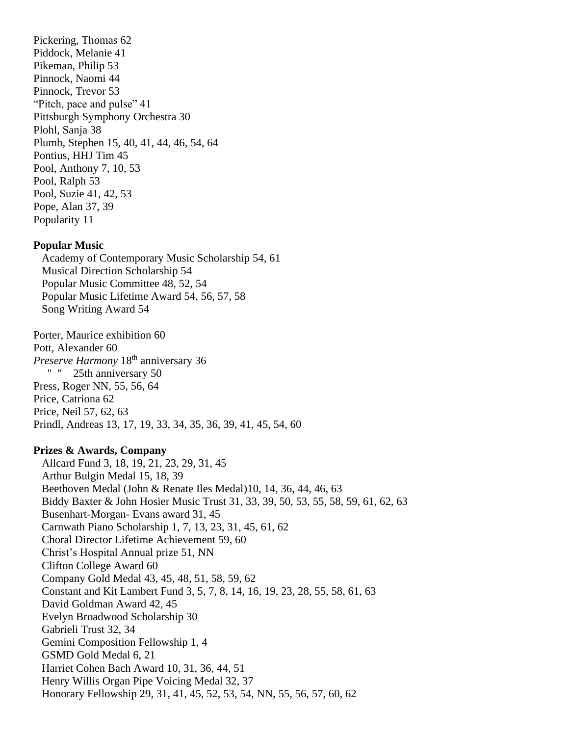Pickering, Thomas 62 Piddock, Melanie 41 Pikeman, Philip 53 Pinnock, Naomi 44 Pinnock, Trevor 53 "Pitch, pace and pulse" 41 Pittsburgh Symphony Orchestra 30 Plohl, Sanja 38 Plumb, Stephen 15, 40, 41, 44, 46, 54, 64 Pontius, HHJ Tim 45 Pool, Anthony 7, 10, 53 Pool, Ralph 53 Pool, Suzie 41, 42, 53 Pope, Alan 37, 39 Popularity 11

### **Popular Music**

Academy of Contemporary Music Scholarship 54, 61 Musical Direction Scholarship 54 Popular Music Committee 48, 52, 54 Popular Music Lifetime Award 54, 56, 57, 58 Song Writing Award 54

Porter, Maurice exhibition 60 Pott, Alexander 60 *Preserve Harmony* 18th anniversary 36 " " 25th anniversary 50 Press, Roger NN, 55, 56, 64 Price, Catriona 62 Price, Neil 57, 62, 63 Prindl, Andreas 13, 17, 19, 33, 34, 35, 36, 39, 41, 45, 54, 60

#### **Prizes & Awards, Company**

Allcard Fund 3, 18, 19, 21, 23, 29, 31, 45 Arthur Bulgin Medal 15, 18, 39 Beethoven Medal (John & Renate Iles Medal)10, 14, 36, 44, 46, 63 Biddy Baxter & John Hosier Music Trust 31, 33, 39, 50, 53, 55, 58, 59, 61, 62, 63 Busenhart-Morgan- Evans award 31, 45 Carnwath Piano Scholarship 1, 7, 13, 23, 31, 45, 61, 62 Choral Director Lifetime Achievement 59, 60 Christ's Hospital Annual prize 51, NN Clifton College Award 60 Company Gold Medal 43, 45, 48, 51, 58, 59, 62 Constant and Kit Lambert Fund 3, 5, 7, 8, 14, 16, 19, 23, 28, 55, 58, 61, 63 David Goldman Award 42, 45 Evelyn Broadwood Scholarship 30 Gabrieli Trust 32, 34 Gemini Composition Fellowship 1, 4 GSMD Gold Medal 6, 21 Harriet Cohen Bach Award 10, 31, 36, 44, 51 Henry Willis Organ Pipe Voicing Medal 32, 37 Honorary Fellowship 29, 31, 41, 45, 52, 53, 54, NN, 55, 56, 57, 60, 62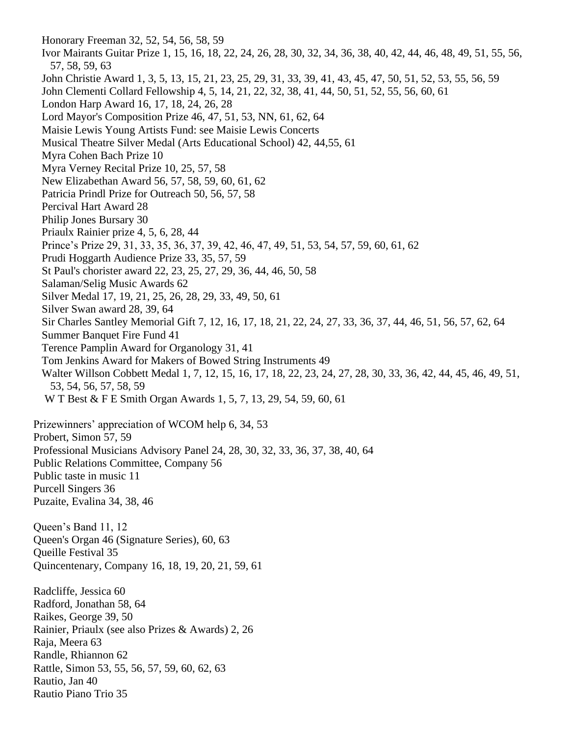Honorary Freeman 32, 52, 54, 56, 58, 59 Ivor Mairants Guitar Prize 1, 15, 16, 18, 22, 24, 26, 28, 30, 32, 34, 36, 38, 40, 42, 44, 46, 48, 49, 51, 55, 56, 57, 58, 59, 63 John Christie Award 1, 3, 5, 13, 15, 21, 23, 25, 29, 31, 33, 39, 41, 43, 45, 47, 50, 51, 52, 53, 55, 56, 59 John Clementi Collard Fellowship 4, 5, 14, 21, 22, 32, 38, 41, 44, 50, 51, 52, 55, 56, 60, 61 London Harp Award 16, 17, 18, 24, 26, 28 Lord Mayor's Composition Prize 46, 47, 51, 53, NN, 61, 62, 64 Maisie Lewis Young Artists Fund: see Maisie Lewis Concerts Musical Theatre Silver Medal (Arts Educational School) 42, 44,55, 61 Myra Cohen Bach Prize 10 Myra Verney Recital Prize 10, 25, 57, 58 New Elizabethan Award 56, 57, 58, 59, 60, 61, 62 Patricia Prindl Prize for Outreach 50, 56, 57, 58 Percival Hart Award 28 Philip Jones Bursary 30 Priaulx Rainier prize 4, 5, 6, 28, 44 Prince's Prize 29, 31, 33, 35, 36, 37, 39, 42, 46, 47, 49, 51, 53, 54, 57, 59, 60, 61, 62 Prudi Hoggarth Audience Prize 33, 35, 57, 59 St Paul's chorister award 22, 23, 25, 27, 29, 36, 44, 46, 50, 58 Salaman/Selig Music Awards 62 Silver Medal 17, 19, 21, 25, 26, 28, 29, 33, 49, 50, 61 Silver Swan award 28, 39, 64 Sir Charles Santley Memorial Gift 7, 12, 16, 17, 18, 21, 22, 24, 27, 33, 36, 37, 44, 46, 51, 56, 57, 62, 64 Summer Banquet Fire Fund 41 Terence Pamplin Award for Organology 31, 41 Tom Jenkins Award for Makers of Bowed String Instruments 49 Walter Willson Cobbett Medal 1, 7, 12, 15, 16, 17, 18, 22, 23, 24, 27, 28, 30, 33, 36, 42, 44, 45, 46, 49, 51, 53, 54, 56, 57, 58, 59 W T Best & F E Smith Organ Awards 1, 5, 7, 13, 29, 54, 59, 60, 61 Prizewinners' appreciation of WCOM help 6, 34, 53 Probert, Simon 57, 59 Professional Musicians Advisory Panel 24, 28, 30, 32, 33, 36, 37, 38, 40, 64 Public Relations Committee, Company 56 Public taste in music 11 Purcell Singers 36 Puzaite, Evalina 34, 38, 46 Queen's Band 11, 12 Queen's Organ 46 (Signature Series), 60, 63 Queille Festival 35 Quincentenary, Company 16, 18, 19, 20, 21, 59, 61 Radcliffe, Jessica 60 Radford, Jonathan 58, 64 Raikes, George 39, 50 Rainier, Priaulx (see also Prizes & Awards) 2, 26 Raja, Meera 63 Randle, Rhiannon 62 Rattle, Simon 53, 55, 56, 57, 59, 60, 62, 63 Rautio, Jan 40 Rautio Piano Trio 35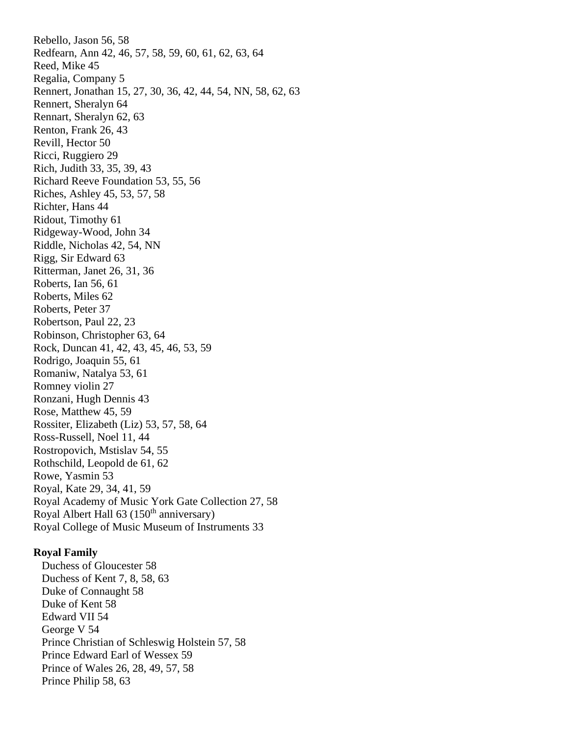Rebello, Jason 56, 58 Redfearn, Ann 42, 46, 57, 58, 59, 60, 61, 62, 63, 64 Reed, Mike 45 Regalia, Company 5 Rennert, Jonathan 15, 27, 30, 36, 42, 44, 54, NN, 58, 62, 63 Rennert, Sheralyn 64 Rennart, Sheralyn 62, 63 Renton, Frank 26, 43 Revill, Hector 50 Ricci, Ruggiero 29 Rich, Judith 33, 35, 39, 43 Richard Reeve Foundation 53, 55, 56 Riches, Ashley 45, 53, 57, 58 Richter, Hans 44 Ridout, Timothy 61 Ridgeway-Wood, John 34 Riddle, Nicholas 42, 54, NN Rigg, Sir Edward 63 Ritterman, Janet 26, 31, 36 Roberts, Ian 56, 61 Roberts, Miles 62 Roberts, Peter 37 Robertson, Paul 22, 23 Robinson, Christopher 63, 64 Rock, Duncan 41, 42, 43, 45, 46, 53, 59 Rodrigo, Joaquin 55, 61 Romaniw, Natalya 53, 61 Romney violin 27 Ronzani, Hugh Dennis 43 Rose, Matthew 45, 59 Rossiter, Elizabeth (Liz) 53, 57, 58, 64 Ross-Russell, Noel 11, 44 Rostropovich, Mstislav 54, 55 Rothschild, Leopold de 61, 62 Rowe, Yasmin 53 Royal, Kate 29, 34, 41, 59 Royal Academy of Music York Gate Collection 27, 58 Royal Albert Hall 63 (150<sup>th</sup> anniversary) Royal College of Music Museum of Instruments 33

## **Royal Family**

 Duchess of Gloucester 58 Duchess of Kent 7, 8, 58, 63 Duke of Connaught 58 Duke of Kent 58 Edward VII 54 George V 54 Prince Christian of Schleswig Holstein 57, 58 Prince Edward Earl of Wessex 59 Prince of Wales 26, 28, 49, 57, 58 Prince Philip 58, 63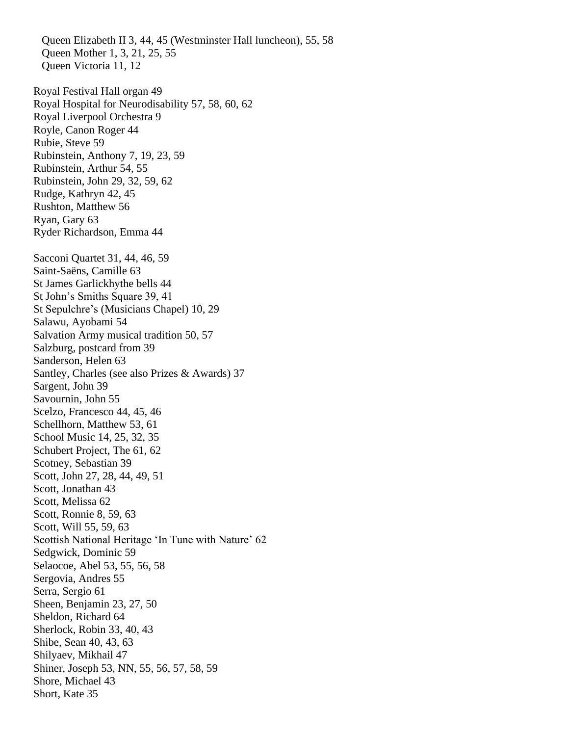Queen Elizabeth II 3, 44, 45 (Westminster Hall luncheon), 55, 58 Queen Mother 1, 3, 21, 25, 55 Queen Victoria 11, 12 Royal Festival Hall organ 49 Royal Hospital for Neurodisability 57, 58, 60, 62 Royal Liverpool Orchestra 9 Royle, Canon Roger 44 Rubie, Steve 59 Rubinstein, Anthony 7, 19, 23, 59 Rubinstein, Arthur 54, 55 Rubinstein, John 29, 32, 59, 62 Rudge, Kathryn 42, 45 Rushton, Matthew 56 Ryan, Gary 63 Ryder Richardson, Emma 44 Sacconi Quartet 31, 44, 46, 59 Saint-Saëns, Camille 63 St James Garlickhythe bells 44 St John's Smiths Square 39, 41 St Sepulchre's (Musicians Chapel) 10, 29 Salawu, Ayobami 54 Salvation Army musical tradition 50, 57 Salzburg, postcard from 39 Sanderson, Helen 63 Santley, Charles (see also Prizes & Awards) 37 Sargent, John 39 Savournin, John 55 Scelzo, Francesco 44, 45, 46 Schellhorn, Matthew 53, 61 School Music 14, 25, 32, 35 Schubert Project, The 61, 62 Scotney, Sebastian 39 Scott, John 27, 28, 44, 49, 51 Scott, Jonathan 43 Scott, Melissa 62 Scott, Ronnie 8, 59, 63 Scott, Will 55, 59, 63 Scottish National Heritage 'In Tune with Nature' 62 Sedgwick, Dominic 59 Selaocoe, Abel 53, 55, 56, 58 Sergovia, Andres 55 Serra, Sergio 61 Sheen, Benjamin 23, 27, 50 Sheldon, Richard 64 Sherlock, Robin 33, 40, 43 Shibe, Sean 40, 43, 63 Shilyaev, Mikhail 47 Shiner, Joseph 53, NN, 55, 56, 57, 58, 59 Shore, Michael 43 Short, Kate 35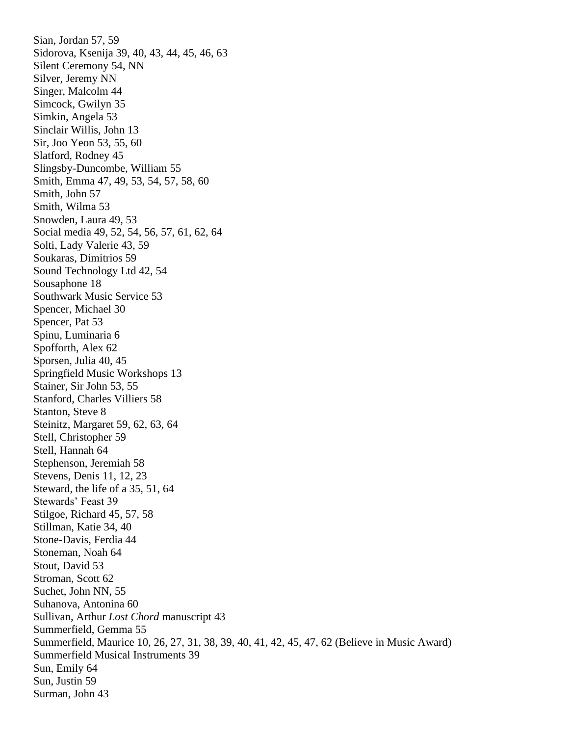Sian, Jordan 57, 59 Sidorova, Ksenija 39, 40, 43, 44, 45, 46, 63 Silent Ceremony 54, NN Silver, Jeremy NN Singer, Malcolm 44 Simcock, Gwilyn 35 Simkin, Angela 53 Sinclair Willis, John 13 Sir, Joo Yeon 53, 55, 60 Slatford, Rodney 45 Slingsby-Duncombe, William 55 Smith, Emma 47, 49, 53, 54, 57, 58, 60 Smith, John 57 Smith, Wilma 53 Snowden, Laura 49, 53 Social media 49, 52, 54, 56, 57, 61, 62, 64 Solti, Lady Valerie 43, 59 Soukaras, Dimitrios 59 Sound Technology Ltd 42, 54 Sousaphone 18 Southwark Music Service 53 Spencer, Michael 30 Spencer, Pat 53 Spinu, Luminaria 6 Spofforth, Alex 62 Sporsen, Julia 40, 45 Springfield Music Workshops 13 Stainer, Sir John 53, 55 Stanford, Charles Villiers 58 Stanton, Steve 8 Steinitz, Margaret 59, 62, 63, 64 Stell, Christopher 59 Stell, Hannah 64 Stephenson, Jeremiah 58 Stevens, Denis 11, 12, 23 Steward, the life of a 35, 51, 64 Stewards' Feast 39 Stilgoe, Richard 45, 57, 58 Stillman, Katie 34, 40 Stone-Davis, Ferdia 44 Stoneman, Noah 64 Stout, David 53 Stroman, Scott 62 Suchet, John NN, 55 Suhanova, Antonina 60 Sullivan, Arthur *Lost Chord* manuscript 43 Summerfield, Gemma 55 Summerfield, Maurice 10, 26, 27, 31, 38, 39, 40, 41, 42, 45, 47, 62 (Believe in Music Award) Summerfield Musical Instruments 39 Sun, Emily 64 Sun, Justin 59 Surman, John 43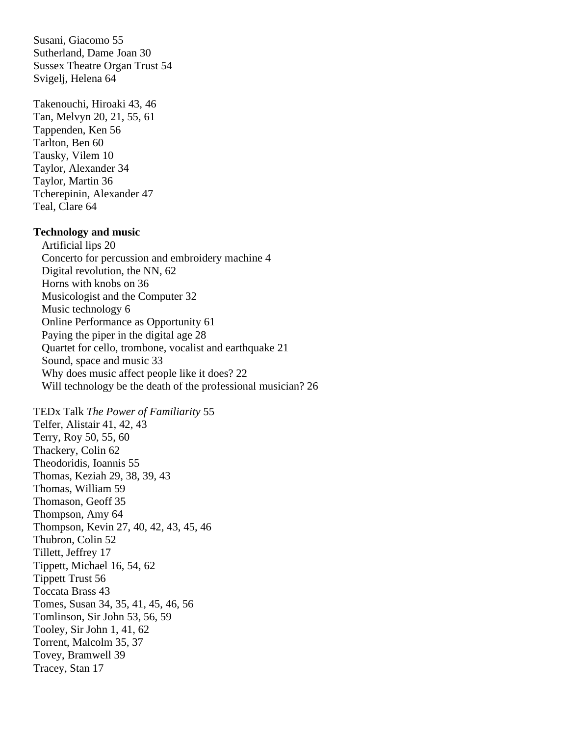Susani, Giacomo 55 Sutherland, Dame Joan 30 Sussex Theatre Organ Trust 54 Svigelj, Helena 64

Takenouchi, Hiroaki 43, 46 Tan, Melvyn 20, 21, 55, 61 Tappenden, Ken 56 Tarlton, Ben 60 Tausky, Vilem 10 Taylor, Alexander 34 Taylor, Martin 36 Tcherepinin, Alexander 47 Teal, Clare 64

# **Technology and music**

 Artificial lips 20 Concerto for percussion and embroidery machine 4 Digital revolution, the NN, 62 Horns with knobs on 36 Musicologist and the Computer 32 Music technology 6 Online Performance as Opportunity 61 Paying the piper in the digital age 28 Quartet for cello, trombone, vocalist and earthquake 21 Sound, space and music 33 Why does music affect people like it does? 22 Will technology be the death of the professional musician? 26

TEDx Talk *The Power of Familiarity* 55 Telfer, Alistair 41, 42, 43 Terry, Roy 50, 55, 60 Thackery, Colin 62 Theodoridis, Ioannis 55 Thomas, Keziah 29, 38, 39, 43 Thomas, William 59 Thomason, Geoff 35 Thompson, Amy 64 Thompson, Kevin 27, 40, 42, 43, 45, 46 Thubron, Colin 52 Tillett, Jeffrey 17 Tippett, Michael 16, 54, 62 Tippett Trust 56 Toccata Brass 43 Tomes, Susan 34, 35, 41, 45, 46, 56 Tomlinson, Sir John 53, 56, 59 Tooley, Sir John 1, 41, 62 Torrent, Malcolm 35, 37 Tovey, Bramwell 39 Tracey, Stan 17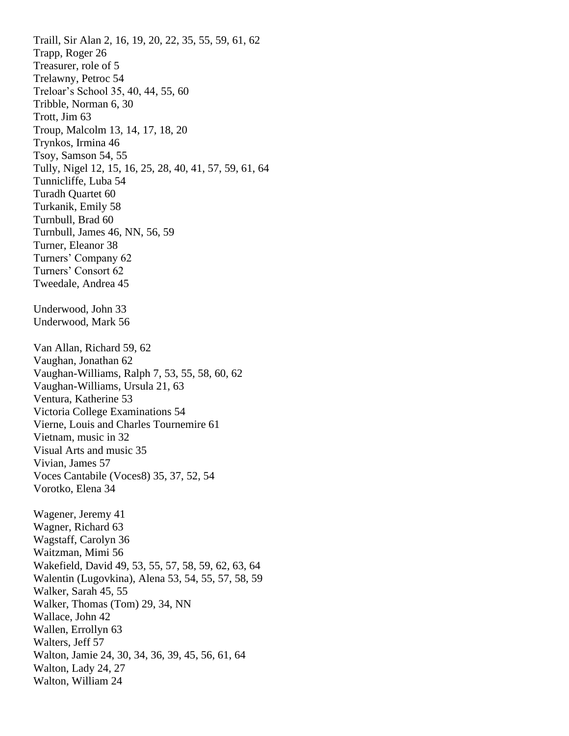Traill, Sir Alan 2, 16, 19, 20, 22, 35, 55, 59, 61, 62 Trapp, Roger 26 Treasurer, role of 5 Trelawny, Petroc 54 Treloar's School 35, 40, 44, 55, 60 Tribble, Norman 6, 30 Trott, Jim 63 Troup, Malcolm 13, 14, 17, 18, 20 Trynkos, Irmina 46 Tsoy, Samson 54, 55 Tully, Nigel 12, 15, 16, 25, 28, 40, 41, 57, 59, 61, 64 Tunnicliffe, Luba 54 Turadh Quartet 60 Turkanik, Emily 58 Turnbull, Brad 60 Turnbull, James 46, NN, 56, 59 Turner, Eleanor 38 Turners' Company 62 Turners' Consort 62 Tweedale, Andrea 45 Underwood, John 33 Underwood, Mark 56 Van Allan, Richard 59, 62 Vaughan, Jonathan 62 Vaughan-Williams, Ralph 7, 53, 55, 58, 60, 62 Vaughan-Williams, Ursula 21, 63 Ventura, Katherine 53 Victoria College Examinations 54 Vierne, Louis and Charles Tournemire 61 Vietnam, music in 32 Visual Arts and music 35 Vivian, James 57 Voces Cantabile (Voces8) 35, 37, 52, 54 Vorotko, Elena 34 Wagener, Jeremy 41 Wagner, Richard 63 Wagstaff, Carolyn 36 Waitzman, Mimi 56 Wakefield, David 49, 53, 55, 57, 58, 59, 62, 63, 64 Walentin (Lugovkina), Alena 53, 54, 55, 57, 58, 59 Walker, Sarah 45, 55 Walker, Thomas (Tom) 29, 34, NN Wallace, John 42 Wallen, Errollyn 63 Walters, Jeff 57 Walton, Jamie 24, 30, 34, 36, 39, 45, 56, 61, 64 Walton, Lady 24, 27 Walton, William 24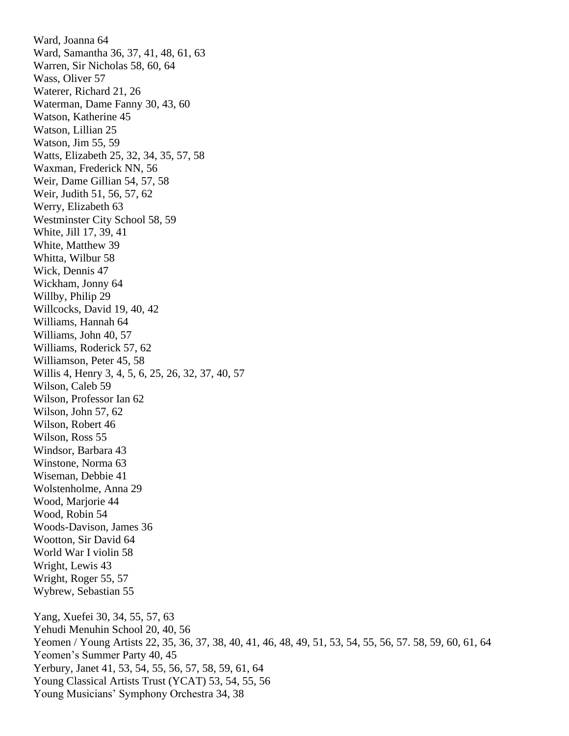Ward, Joanna 64 Ward, Samantha 36, 37, 41, 48, 61, 63 Warren, Sir Nicholas 58, 60, 64 Wass, Oliver 57 Waterer, Richard 21, 26 Waterman, Dame Fanny 30, 43, 60 Watson, Katherine 45 Watson, Lillian 25 Watson, Jim 55, 59 Watts, Elizabeth 25, 32, 34, 35, 57, 58 Waxman, Frederick NN, 56 Weir, Dame Gillian 54, 57, 58 Weir, Judith 51, 56, 57, 62 Werry, Elizabeth 63 Westminster City School 58, 59 White, Jill 17, 39, 41 White, Matthew 39 Whitta, Wilbur 58 Wick, Dennis 47 Wickham, Jonny 64 Willby, Philip 29 Willcocks, David 19, 40, 42 Williams, Hannah 64 Williams, John 40, 57 Williams, Roderick 57, 62 Williamson, Peter 45, 58 Willis 4, Henry 3, 4, 5, 6, 25, 26, 32, 37, 40, 57 Wilson, Caleb 59 Wilson, Professor Ian 62 Wilson, John 57, 62 Wilson, Robert 46 Wilson, Ross 55 Windsor, Barbara 43 Winstone, Norma 63 Wiseman, Debbie 41 Wolstenholme, Anna 29 Wood, Marjorie 44 Wood, Robin 54 Woods-Davison, James 36 Wootton, Sir David 64 World War I violin 58 Wright, Lewis 43 Wright, Roger 55, 57 Wybrew, Sebastian 55 Yang, Xuefei 30, 34, 55, 57, 63 Yehudi Menuhin School 20, 40, 56 Yeomen / Young Artists 22, 35, 36, 37, 38, 40, 41, 46, 48, 49, 51, 53, 54, 55, 56, 57. 58, 59, 60, 61, 64 Yeomen's Summer Party 40, 45 Yerbury, Janet 41, 53, 54, 55, 56, 57, 58, 59, 61, 64 Young Classical Artists Trust (YCAT) 53, 54, 55, 56 Young Musicians' Symphony Orchestra 34, 38